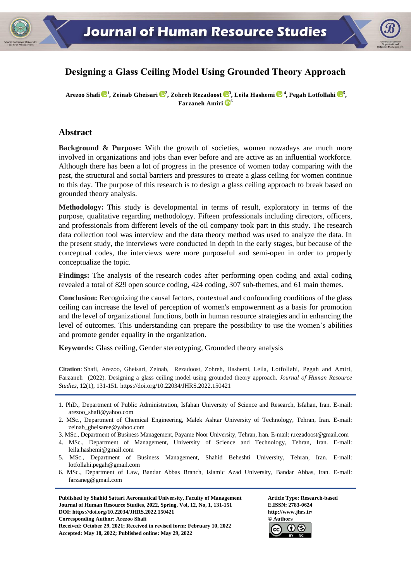

# **Designing a Glass Ceiling Model Using Grounded Theory Approach**

**Arezoo Shafi <sup>1</sup> , Zeinab Gheisari <sup>2</sup> , Zohreh Rezadoost [3](https://orcid.org/0000-0002-1890-0758) , Leila Hashemi <sup>4</sup> , Pegah Lotfollahi <sup>5</sup> , Farzaneh Amiri <sup>6</sup>**

## **Abstract**

**Background & Purpose:** With the growth of societies, women nowadays are much more involved in organizations and jobs than ever before and are active as an influential workforce. Although there has been a lot of progress in the presence of women today comparing with the past, the structural and social barriers and pressures to create a glass ceiling for women continue to this day. The purpose of this research is to design a glass ceiling approach to break based on grounded theory analysis.

**Methodology:** This study is developmental in terms of result, exploratory in terms of the purpose, qualitative regarding methodology. Fifteen professionals including directors, officers, and professionals from different levels of the oil company took part in this study. The research data collection tool was interview and the data theory method was used to analyze the data. In the present study, the interviews were conducted in depth in the early stages, but because of the conceptual codes, the interviews were more purposeful and semi-open in order to properly conceptualize the topic.

**Findings:** The analysis of the research codes after performing open coding and axial coding revealed a total of 829 open source coding, 424 coding, 307 sub-themes, and 61 main themes.

**Conclusion:** Recognizing the causal factors, contextual and confounding conditions of the glass ceiling can increase the level of perception of women's empowerment as a basis for promotion and the level of organizational functions, both in human resource strategies and in enhancing the level of outcomes. This understanding can prepare the possibility to use the women's abilities and promote gender equality in the organization.

**Keywords:** Glass ceiling, Gender stereotyping, Grounded theory analysis

**Citation**: Shafi, Arezoo, Gheisari, Zeinab, Rezadoost, Zohreh, Hashemi, Leila, Lotfollahi, Pegah and Amiri, Farzaneh (2022). Designing a glass ceiling model using grounded theory approach. *Journal of Human Resource Studies*, 12(1), 131-151. https://doi.or[g/10.22034/JHRS.2022.150421](https://dx.doi.org/10.22034/jhrs.2022.150421)

- 4. MSc., Department of Management, University of Science and Technology, Tehran, Iran. E-mail: leila.hashemi@gmail.com
- 5. MSc., Department of Business Management, Shahid Beheshti University, Tehran, Iran. E-mail: lotfollahi.pegah@gmail.com
- 6. MSc., Department of Law, Bandar Abbas Branch, Islamic Azad University, Bandar Abbas, Iran. E-mail: farzaneg@gmail.com

Published by Shahid Sattari Aeronautical University, Faculty of Management **Article Type: Research-based Journal of Human Resource Studies, 2022, Spring, Vol, 12, No, 1, 131-151 E.ISSN: 2783-0624 DOI: https://doi.or[g/10.22034/JHRS.2022.150421](https://dx.doi.org/10.22034/jhrs.2022.150421) http://www.jhrs.ir/ Corresponding Author: Arezoo Shafi © Authors Received: October 29, 2021; Received in revised form: February 10, 2022 Accepted: May 18, 2022; Published online: May 29, 2022**



<sup>1.</sup> PhD., Department of Public Administration, Isfahan University of Science and Research, Isfahan, Iran. E-mail: arezoo\_shafi@yahoo.com

<sup>2.</sup> MSc., Department of Chemical Engineering, Malek Ashtar University of Technology, Tehran, Iran. E-mail: zeinab\_gheisaree@yahoo.com

<sup>3.</sup> MSc., Department of Business Management, Payame Noor University, Tehran, Iran. E-mail: r.rezadoost@gmail.com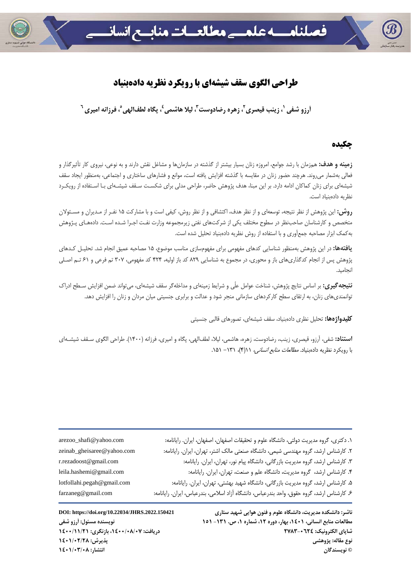

# **طراحي الگوي سقف شيشهاي با رويكرد نظريه دادهبنياد**

آرزو شفي '، زينب قيصري '، زهره رضادوست ؒ، ليلا هاشمي ٗ، يگاه لطفالهي ؓ، فرزانه اميري <sup>٦</sup>

## **چكيده**

**زمينه و هدف:** همزمان با رشد جوامع، امروزه زنان بسيار بيشتر از گذشته در سازمانها و مشاغل نقش دارند و به نوعي، نيروي كار تأثيرگذار و فعالي بهشمار ميروند. هرچند حضور زنان در مقايسه با گذشته افزايش يافته است، موانع و فشارهاي ساختاري و اجتماعي، بهمنظور ايجاد سقف شيشهاي براي زنان كماكان ادامه دارد. بر اين مبنا، هدف پژوهش حاضر، طراحي مدلي براي شكسـت سـقف شيشـهاي بـا اسـتفاده از رويكـرد نظريه دادهبنياد است.

**روش:** اين پژوهش از نظر نتيجه، توسعهاي و از نظر هدف، اكتشافي و از نظر روش، كيفي است و با مشاركت 15 نفـر از مـديران و مسـئولان متخصص و كارشناسان صاحبنظر در سطوح مختلف يكي از شركتهاي نفتي زيرمجموعه وزارت نفـت اجـرا شـده اسـت. دادههـاي پـژوهش بهكمك ابزار مصاحبه جمعآوري و با استفاده از روش نظريه دادهبنياد تحليل شده است.

**يافتهها:** در اين پژوهش بهمنظور شناسايي كدهاي مفهومي براي مفهومسازي مناسب موضوع، 15 مصاحبه عميق انجام شد. تحليـل كـدهاي پژوهش پس از انجام كدگذاريهاي باز و محوري، در مجموع به شناسايي 829 كد باز اوليه، 424 كد مفهومي، 307 تم فرعي و 61 تـم اصـلي انجاميد.

**نتيجهگيري:** بر اساس نتايج پژوهش، شناخت عوامل علّي و شرايط زمينهاي و مداخلهگر سقف شيشهاي، ميتواند ضمن افزايش سـطح ادراك توانمنديهاي زنان، به ارتقاي سطح كاركردهاي سازماني منجر شود و عدالت و برابري جنسيتي ميان مردان و زنان را افزايش دهد.

**كليدواژهها:** تحليل نظري دادهبنياد، سقف شيشهاي، تصورهاي قالبي جنسيتي

**استناد:** شفي، آرزو، قيصري، زينب، رضادوست، زهره، هاشمي، ليلا، لطفالهي، پگاه و اميري، فرزانه (1400). طراحي الگوي سـقف شيشـهاي با رويكرد نظريه دادهبنياد. *مطالعات منابع انساني، ١٦*(٢)، *١٣١ - ١*۵١.

| ١. دكترى، گروه مديريت دولتى، دانشگاه علوم و تحقيقات اصفهان، اصفهان، ايران. رايانامه:       |
|--------------------------------------------------------------------------------------------|
| ۲. کارشناس ارشد، گروه مهندسی شیمی، دانشگاه صنعتی مالک اشتر، تهران، ایران. رایانامه:        |
| ۳. کارشناس ارشد، گروه مدیریت بازرگانی، دانشگاه پیام نور، تهران، ایران. رایانامه:           |
| ۴. كارشناس ارشد، گروه مديريت، دانشگاه علم و صنعت، تهران، ايران. رايانامه:                  |
| ۵. کارشناس ارشد، گروه مدیریت بازرگانی، دانشگاه شهید بهشتی، تهران، ایران. رایانامه:         |
| ۶. کارشناس ارشد، گروه حقوق، واحد بندرعباس، دانشگاه آزاد اسلامی، بندرعباس، ایران. رایانامه: |

zeinab\_gheisaree@yahoo.com r.rezadoost@gmail.com leila.hashemi@gmail.com lotfollahi.pegah@gmail.com farzaneg@gmail.com

arezoo\_shafi@yahoo.com

**ناشر: دانشكده مديريت، دانشگاه علوم و فنون هوايي شهيد ستاري .2022.150421JHRS/10.22034/org.doi://https :DOI**  مطالعات منابع انساني، ١٤٠١، بهار، دوره ١٢، شماره ١، ص. ١٣١- ١٥١ هـ. . . . . . . . . . . . . . . . . . نويسنده مسئول: أرزو شفي **شاپاي الكترونيك: 2783-0624 دريافت: ،1400/08/07 بازنگري: 1400/11/21 نوع مقاله: پژوهشي پذيرش: 1401/02/28 © نويسندگان انتشار: 1401/03/08**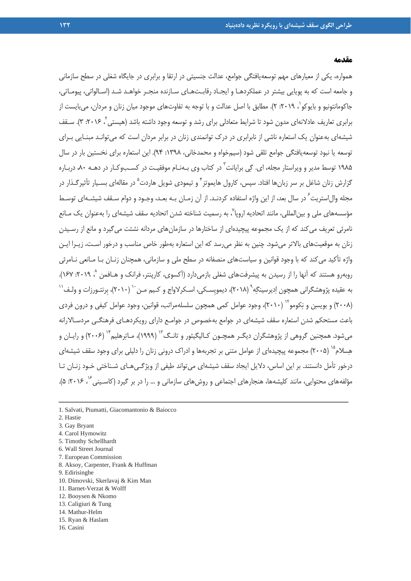#### **مقدمه**

همواره، يكي از معيارهاي مهم توسعهيافتگي جوامع، عدالت جنسيتي در ارتقا و برابري در جايگاه شغلي در سطح سازماني و جامعه است كه به پويايي بيشتر در عملكردهـا و ايجـاد رقابـتهـاي سـازنده منجـر خواهـد شـد (اسـالواتي، پيومـاتي، جاكومانتونيو و بايوكو`، ٢٠١٩: ٢). مطابق با اصل عدالت و با توجه به تفاوتهاي موجود ميان زنان و مردان، ميبايست از برابري تعاريف عادلانهاي مدون شود تا شرايط متعادلي براي رشد و توسعه وجود داشته باشد (هيستي ، ٢٠١۶: ٣). سـقف شيشهاي بهعنوان يك استعاره ناشي از نابرابري در درك توانمندي زنان در برابر مردان است كه ميتوانـد مبنـايي بـراي توسعه يا نبود توسعهيافتگي جوامع تلقي شود (سيمخواه و محمدخاني، :1398 94). اين استعاره براي نخستين بار در سال ۱۹۸۵ توسط مدير و ويراستار مجله، اي. گي برايانت<sup>۳</sup> در كتاب وي بـهنـام موفقيـت در كسـبوكـار در دهـه ۸۰، دربـاره گزارش زنان شاغل بر سر زبان ها افتاد. سپس، كارول هايموتز<sup>۲</sup> و تيمودي شويل هاردت<sup>۵</sup> در مقالهاي بسـيار تأثيرگـذار در مجله وال|ستريت ٍ در سال بعد، از اين واژه استفاده كردنـد. از آن زمـان بـه بعـد، وجـود و دوام سـقف شيشـهاي توسـط مؤسسههاي ملي و بين|لمللي، مانند اتحاديه اروپا ّ، به رسميت شناخته شدن اتحاديه سقف شيشهاي را بهعنوان يک مـانع نامرئي تعريف ميكند كه از يك مجموعه پيچيدهاي از ساختارها در سازمانهاي مردانه نشئت ميگيرد و مانع از رسـيدن زنان به موقعيتهاي بالاتر ميشود. چنين به نظر ميرسد كه اين استعاره بهطور خاص مناسب و درخور اسـت، زيـرا ايـن واژه تأكيد ميكند كه با وجود قوانين و سياستهاي منصفانه در سطح ملي و سازماني، همچنان زنـان بـا مـانعي نـامرئي روبهرو هستند كه آنها را از رسيدن به پيشرفتهاى شغلى بازمىدارد (آكسوى، كارپنتر، فرانك و هـافمن ^، ٢٠١٩: ١۶٧). به عقيده پژوهشگرانی همچون اِديرسينگِه ْ (٢٠١٨)، ديمويسـكی، اسـكرلاواج و كـيم مـن <sup>۱۰</sup> (٢٠١٠)، بِرنتـورزات و ولـف<sup>\١</sup> (٢٠٠٨) و بويسن و نِكومو'' (٢٠١٠)، وجود عوامل كمي همچون سلسلهمراتب، قوانين، وجود عوامل كيفي و درون فردي باعث مستحكم شدن استعاره سقف شيشهاي در جوامع بهخصوص در جوامـع داراي رويكردهـاي فرهنگـي مردسـالارانه میشود. همچنین گروهی از پژوهشگران دیگـر همچـون كـالیگیئور و تانـگ<sup>۱۳</sup> (۱۹۹۹)، مـاتِرهلیم<sup>۱۴</sup> (۲۰۰۶) و رایـان و هِسلام<sup>۱۵</sup> (۲۰۰۵) مجموعه پيچيدهای از عوامل متنی بر تجربهها و ادراک درونی زنان را دليلی برای وجود سقف شيشهای درخور تأمل دانستند. بر اين اساس، دلايل ايجاد سقف شيشهاي ميتواند طيفي از ويژگـيهـاي شـناختي خـود زنـان تـا مؤلفههاي محتوايي، مانند كليشهها، هنجارهاي اجتماعي و روش هاي سازماني و ... را در بر گيرد (كاسـيني<sup>۶</sup>، ۲۰۱۶: ۵).

- 2. Hastie
- 3. Gay Bryant
- 4. Carol Hymowitz
- 5. Timothy Schellhardt
- 6. Wall Street Journal
- 7. European Commission
- 8. Aksoy, Carpenter, Frank & Huffman
- 9. Edirisinghe
- 10. Dimovski, Skerlavaj & Kim Man
- 11. Barnet-Verzat & Wolff
- 12. Booysen & Nkomo
- 13. Caligiuri & Tung
- 14. Mathur-Helm
- 15. Ryan & Haslam
- 16. Casini

<sup>1.</sup> Salvati, Piumatti, Giacomantonio & Baiocco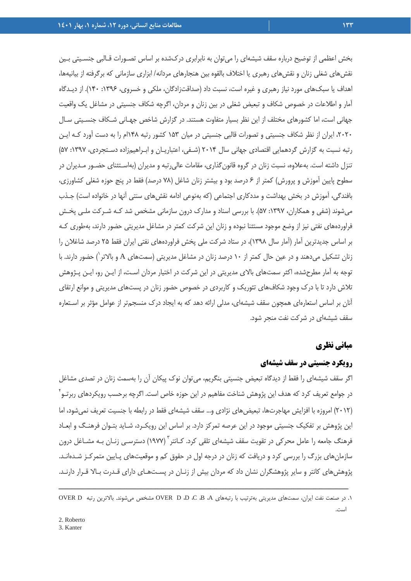بخش اعظمي از توضيح درباره سقف شيشهاي را ميتوان به نابرابري دركشده بر اساس تصـورات قـالبي جنسـيتي بـين نقشهاي شغلي زنان و نقشهاي رهبري يا اختلاف بالقوه بين هنجارهاي مردانه/ ابزاري سازماني كه برگرفته از بيانيهها، اهداف يا سبكهاي مورد نياز رهبري و غيره است، نسبت داد (صداقتزادگان، ملكي و خسروي، ١٣٩۶: ١٢٠). از ديـدگاه آمار و اطلاعات در خصوص شكاف و تبعيض شغلي در بين زنان و مردان، اگرچه شكاف جنسيتي در مشاغل يك واقعيت جهاني است، اما كشورهاي مختلف از اين نظر بسيار متفاوت هستند. در گزارش شاخص جهـاني شـكاف جنسـيتي سـال ،2020 ايران از نظر شكاف جنسيتي و تصورات قالبي جنسيتي در ميان 153 كشور رتبه 148ام را به دست آورد كـه ايـن رتبه نسبت به گزارش گردهمايي اقتصادي جهاني سال 2014 (شـفي، اعتباريـان و ابـراهيمزاده دسـتجردي، :1397 57) تنزل داشته است. بهعلاوه، نسبت زنان در گروه قانونگذاري، مقامات عاليرتبه و مديران (بهاسـتثناي حضـور مـديران در سطوح پايين آموزش و پرورش) كمتر از 6 درصد بود و بيشتر زنان شاغل (78 درصد) فقط در پنج حوزه شغلي كشاورزي، بافندگي، آموزش در بخش بهداشت و مددكاري اجتماعي (كه بهنوعي ادامه نقشهاي سنتي آنها در خانواده است) جـذب ميشوند (شفي و همكاران، :1397 57). با بررسي اسناد و مدارك درون سازماني مشخص شد كـه شـركت ملـي پخـش فراوردههاي نفتي نيز از وضع موجود مستثنا نبوده و زنان اين شركت كمتر در مشاغل مديريتي حضور دارند، بهطوري كـه بر اساس جديدترين آمار (آمار سال 1398)، در ستاد شركت ملي پخش فراوردههاي نفتي ايران فقط 25 درصد شاغلان را ) حضور دارند. با <sup>1</sup> زنان تشكيل ميدهند و در عين حال كمتر از 10 درصد زنان در مشاغل مديريتي (سمتهاي <sup>A</sup> و بالاتر توجه به آمار مطرحشده، اكثر سمتهاي بالاي مديريتي در اين شركت در اختيار مردان اسـت، از ايـن رو، ايـن پـژوهش تلاش دارد تا با درك وجود شكافهاي تئوريك و كاربردي در خصوص حضور زنان در پستهاي مديريتي و موانع ارتقاي آنان بر اساس استعارهاي همچون سقف شيشهاي، مدلي ارائه دهد كه به ايجاد درك منسجمتر از عوامل مؤثر بر اسـتعاره سقف شيشهاي در شركت نفت منجر شود.

#### **مباني نظري**

## **رويكرد جنسيتي در سقف شيشهاي**

اگر سقف شيشهاي را فقط از ديدگاه تبعيض جنسيتي بنگريم، ميتوان نوك پيكان آن را بهسمت زنان در تصدي مشاغل در جوامع تعريف كرد كه هدف اين پژوهش شناخت مفاهيم در اين حوزه خاص است. اگرچه برحسب رويكردها*ي* ربرتـو<sup>۲</sup> (2012) امروزه با افزايش مهاجرتها، تبعيضهاي نژادي و... سقف شيشهاي فقط در رابطه با جنسيت تعريف نميشود، اما اين پژوهش بر تفكيك جنسيتي موجود در اين عرصه تمركز دارد. بر اساس اين رويكـرد، شـايد بتـوان فرهنـگ و ابعـاد فرهنگ جامعه را عامل محركي در تقويت سقف شيشهاي تلقي كرد. كــانتر<sup>۳</sup> (۱۹۷۷) دسترسـي زنــان بــه مشــاغل درون سازمانهاي بزرگ را بررسي كرد و دريافت كه زنان در درجه اول در حقوق كم و موقعيتهاي پـايين متمركـز شـدهانـد. پژوهشهاي كانتر و ساير پژوهشگران نشان داد كه مردان بيش از زنـان در پسـتهـاي داراي قـدرت بـالا قـرار دارنـد.

<sup>.1</sup> در صنعت نفت ايران، سمتهاي مديريتي بهترتيب با رتبههاي A، B، C، D، D OVER مشخص ميشوند. بالاترين رتبه D OVER است.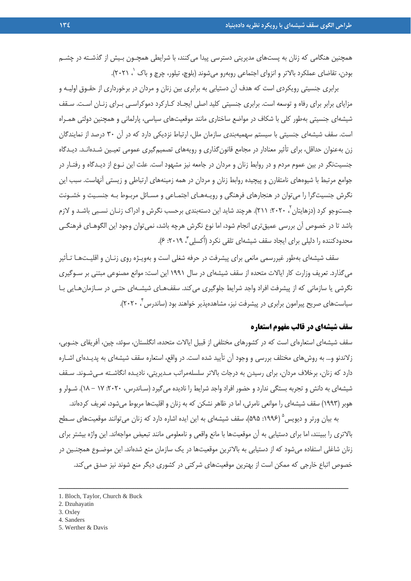همچنين هنگامي كه زنان به پستهاي مديريتي دسترسي پيدا ميكنند، با شرايطي همچـون بـيش از گذشـته در چشــم بودن، تقاضاى عملكرد بالاتر و انزواى اجتماعى روبهرو مىشوند (بلوچ، تيلور، چرچ و باك `، ٢٠٢١).

برابري جنسيتي رويكردي است كه هدف آن دستيابي به برابري بين زنان و مردان در برخورداري از حقـوق اوليـه و مزاياي برابر براي رفاه و توسعه است. برابري جنسيتي كليد اصلي ايجـاد كـاركرد دموكراسـي بـراي زنـان اسـت. سـقف شيشهاي جنسيتي بهطور كلي با شكاف در مواضع ساختاري مانند موقعيتهاي سياسي، پارلماني و همچنين دولتي همـراه است. سقف شيشهاي جنسيتي با سيستم سهميهبندي سازمان ملل، ارتباط نزديكي دارد كه در آن 30 درصد از نمايندگان زن بهعنوان حداقل، براي تأثير معنادار در مجامع قانونگذاري و رويههاي تصميمگيري عمومي تعيـين شـدهانـد. ديـدگاه جنسيتنگر در بين عموم مردم و در روابط زنان و مردان در جامعه نيز مشهود است. علت اين نـوع از ديـدگاه و رفتـار در جوامع مرتبط با شيوههاي نامتقارن و پيچيده روابط زنان و مردان در همه زمينههاي ارتباطي و زيستي آنهاست. سبب اين نگرش جنسيتگرا را ميتوان در هنجارهاي فرهنگي و رويـههـاي اجتمـاعي و مسـائل مربـوط بـه جنسـيت و خشـونت جستوجو کرد (دزهايتان <sup>۲</sup>، ۲۰۲۰: ۲۱۱). هرچند شايد اين دستهبندی برحسب نگرش و ادراک زنـان نسـبی باشـد و لازم باشد تا در خصوص آن بررسي عميقتري انجام شود، اما نوع نگرش هرچه باشد، نميتوان وجود اين الگوهـاي فرهنگـي محدودكننده را دليلي براي ايجاد سقف شيشهاي تلقي نكرد (اُكسلي ّ، ٢٠١٩: ۶).

سقف شيشهاي بهطور غيررسمي مانعي براي پيشرفت در حرفه شغلي است و بهويـژه روي زنـان و اقليـتهـا تـأثير ميگذارد. تعريف وزارت كار ايالات متحده از سقف شيشهاي در سال 1991 اين است: موانع مصنوعي مبتني بر سـوگيري نگرشي يا سازماني كه از پيشرفت افراد واجد شرايط جلوگيري ميكند. سقفهـاي شيشـهاي حتـي در سـازمانهـايي بـا سياستهاي صريح پيرامون برابري در پيشرفت نيز، مشاهدهپذير خواهند بود (ساندرس بر ٢٠٢٠).

#### **سقف شيشهاي در قالب مفهوم استعاره**

سقف شيشهاي استعارهاي است كه در كشورهاي مختلفي از قبيل ايالات متحده، انگلستان، سوئد، چين، آفريقاي جنـوبي، زلاندنو و... به روشهاي مختلف بررسي و وجود آن تأييد شده است. در واقع، استعاره سقف شيشهاي به پديـدهاي اشـاره دارد كه زنان، برخلاف مردان، براي رسيدن به درجات بالاتر سلسلهمراتب مـديريتي، ناديـده انگاشـته مـيشـوند. سـقف شيشهاي به دانش و تجربه بستگي ندارد و حضور افراد واجد شرايط را ناديده ميگيرد (سـاندرس، :2020 17 - 18). شـولر و هوبر (1993) سقف شيشهاي را موانعي نامرئي، اما در ظاهر نشكن كه به زنان و اقليتها مربوط ميشود، تعريف كردهاند.

به بيان ورتر و ديويس 1996: ۵۹۵)، سقف شيشهاي به اين ايده اشاره دارد كه زنان ميتوانند موقعيتهاي سـطح بالاتري را ببينند، اما براي دستيابي به آن موقعيتها با مانع واقعي و نامعلومي مانند تبعيض مواجهاند. اين واژه بيشتر براي زنان شاغلي استفاده ميشود كه از دستيابي به بالاترين موقعيتها در يك سازمان منع شدهاند. اين موضـوع همچنـين در خصوص اتباع خارجي كه ممكن است از بهترين موقعيتهاي شركتي در كشوري ديگر منع شوند نيز صدق ميكند.

ــــــــــــــــــــــــــــــــــــــــــــــــــــــــــــــــــــــــــــــــــــــــــــــــــــــــــــــــــــــــــــــــــــ

5. Werther & Davis

<sup>1.</sup> Bloch, Taylor, Church & Buck

<sup>2.</sup> Dzuhayatin

<sup>3.</sup> Oxley

<sup>4.</sup> Sanders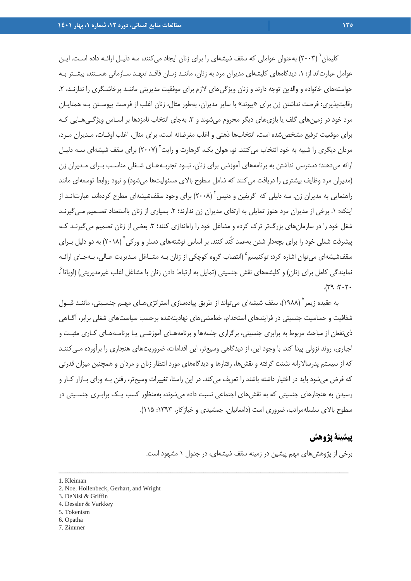كليمان (٢٠٠٣) بهعنوان عواملي كه سقف شيشهاي را براي زنان ايجاد مي كنند، سه دليـل ارائـه داده اسـت. ايـن عوامل عبارتاند از: .1 ديدگاههاي كليشهاي مديران مرد به زنان، ماننـد زنـان فاقـد تعهـد سـازماني هسـتند، بيشـتر بـه خواستههاي خانواده و والدين توجه دارند و زنان ويژگيهاي لازم براي موفقيت مديريتي ماننـد پرخاشـگري را ندارنـد، ۲. رقابتپذيري: فرصت نداشتن زن براي «پيوند» با ساير مديران، بهطور مثال، زنان اغلب از فرصت پيوسـتن بـه همتايـان مرد خود در زمينهاي گلف يا بازيهاي ديگر محروم مي شوند و ٣. بهجاي انتخاب نامزدها بر اسـاس ويژگـي هـايي كـه براي موقعيت ترفيع مشخصشده است، انتخابها ذهني و اغلب مغرضانه است، براي مثال، اغلب اوقـات، مـديران مـرد، مردان ديگرى را شبيه به خود انتخاب مى كنند. نو، هولن بک، گرهارت و رايت<sup>۲</sup> (۲۰۰۷) براى سقف شيشهاى سـه دليـل ارائه ميدهند؛ دسترسي نداشتن به برنامههاي آموزشي براي زنان، نبـود تجربـههـاي شـغلي مناسـب بـراي مـديران زن (مديران مرد وظايف بيشتري را دريافت ميكنند كه شامل سطوح بالاي مسئوليتها ميشود) و نبود روابط توسعهاي مانند راهنمايي به مديران زن. سه دليلي كه گريفين و دنيس (٢٠٠٨) براي وجود سقفشيشهاي مطرح كردهاند، عبارتانـد از اينكه: ١. برخي از مديران مرد هنوز تمايلي به ارتقاي مديران زن ندارند؛ ٢. بسياري از زنان بااستعداد تصـميم مـيگيرنـد شغل خود را در سازمانهاي بزرگتر ترك كرده و مشاغل خود را راهاندازي كنند؛ ٣. بعضي از زنان تصميم ميگيرنـد كـه پيشرفت شغلي خود را براي بچهدار شدن بهعمد كُند كنند. بر اساس نوشتههاي دسلر و وركي 4 (2018) به دو دليل بـراي سقفشيشهاي مي توان اشاره كرد: توكنيسم<sup>۵</sup> (انتصاب گروه كوچكي از زنان بـه مشـاغل مـديريت عـالي، بـهجـاي ارائـه نمايندگي كامل براي زنان) و كليشههاي نقش جنسيتي (تمايل به ارتباط دادن زنان با مشاغل اغلب غيرمديريتي) (اوپاتا<sup>ع</sup> ،  $.7.7$ :  $9\%$ .

به عقیده زیمر<sup>۷</sup> (۱۹۸۸)، سقف شیشهای میتواند از طریق پیادهسازی استراتژیهـای مهـم جنسـیتی، ماننـد قبـول شفافيت و حساسيت جنسيتي در فرايندهاي استخدام، خطمشيهاي نهادينهشده برحسب سياستهاي شغلي برابر، آگـاهي ذينفعان از مباحث مربوط به برابري جنسيتي، برگزاري جلسهها و برنامههـاي آموزشـي يـا برنامـههـاي كـاري مثبـت و اجباري، روند نزولي پيدا كند. با وجود اين، از ديدگاهي وسيعتر، اين اقدامات، ضروريتهاي هنجاري را برآورده مـيكننـد كه از سيستم پدرسالارانه نشئت گرفته و نقشها، رفتارها و ديدگاههاي مورد انتظار زنان و مردان و همچنين ميزان قدرتي كه فرض ميشود بايد در اختيار داشته باشند را تعريف ميكند. در اين راستا، تغييرات وسيعتر، رفتن بـه وراي بـازار كـار و رسيدن به هنجارهاي جنسيتي كه به نقشهاي اجتماعي نسبت داده ميشوند، بهمنظور كسب يـك برابـري جنسـيتي در سطوح بالاي سلسلهمراتب، ضروري است (دامغانيان، جمشيدي و خبازكار، :1393 115).

ــــــــــــــــــــــــــــــــــــــــــــــــــــــــــــــــــــــــــــــــــــــــــــــــــــــــــــــــــــــــــــــــــــ

# **پيشينة پژوهش**

برخي از پژوهشهاي مهم پيشين در زمينه سقف شيشهاي، در جدول 1 مشهود است.

- 2. Noe, Hollenbeck, Gerhart, and Wright
- 3. DeNisi & Griffin
- 4. Dessler & Varkkey
- 5. Tokenism
- 6. Opatha
- 7. Zimmer

<sup>1.</sup> Kleiman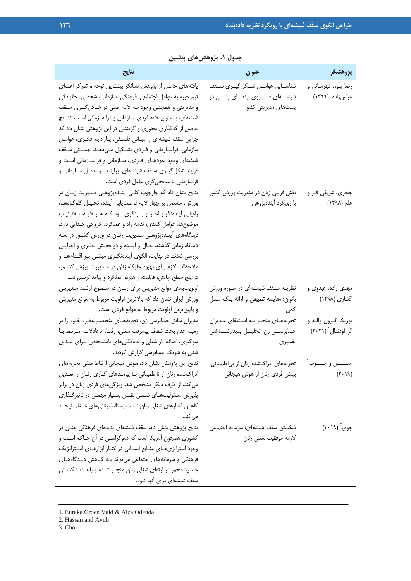| نتايج                                                           | عنوان                                       | پژوهشگر                 |
|-----------------------------------------------------------------|---------------------------------------------|-------------------------|
| یافتههای حاصل از پژوهش نشانگر بیشترین توجه و تمرکز اعضای        | شناسـايي عوامــل شــكلگيــرى ســقف          | رضا پـور، قهرمـاني و    |
| تیم خبره به عوامل اجتماعی، فرهنگی، سازمانی، شخصی، خانوادگی      | شیشــــهای فــــراروی ارتقـــای زنــــان در | عباس زاده (۱۳۹۹)        |
| و مدیریتی و همچنین وجود سه لایه اصلی در شکل گیـری سـقف          | پستھای مدیریتی کشور                         |                         |
| شیشهای، با عنوان لایه فردی، سازمانی و فرا سازمانی است. نتـایج   |                                             |                         |
| حاصل از کدگذاری محوری و گزینشی در این پژوهش نشان داد که         |                                             |                         |
| چرایی سقف شیشهای را مبـانی فلسـفی، پـارادایم فکـری، عوامـل      |                                             |                         |
| سازمانی، فراسـازمانی و فـردی تشـکیل مـیدهـد. چیسـتی سـقف        |                                             |                         |
| شیشهای وجود نمودهـای فـردی، سـازمانی و فراسـازمانی اسـت و       |                                             |                         |
| فرایند شکل گیـری سـقف شیشـهای، براینـد دو عامـل سـازمانی و      |                                             |                         |
| فراسازمانی با میانجی گری عامل فردی است.                         |                                             |                         |
| نتایج نشان داد که چارچوب کلـی آینـدهپژوهـی مـدیریت زنـان در     | نقش فرینی زنان در مدیریت ورزش کشور          | جعفري، شريفي فـر و      |
| ورزش، مشتمل بر چهار لايه فرصت يابي أينده، تحليـل گلوگـاههـا،    | با رویکرد آیندهپژوهی                        | علم (۱۳۹۸)              |
| راهيابي أيندهنكر واجرا وبازنكري بود كه هر لايه، بهترتيب         |                                             |                         |
| موضوعها، عوامل كليدى، نقشه راه و عملكرد، خروجى جـدايى دارد.     |                                             |                         |
| دیدگاههای آینـدهپژوهـی مـدیریت زنـان در ورزش کشـور در سـه       |                                             |                         |
| دیدگاه زمانی گذشته، حـال و أینـده و دو بخـش نظـری و اجرایـی     |                                             |                         |
| بررسی شدند. در نهایت، الگوی آیندهنگـری مبتنـی بـر اقـدامهـا و   |                                             |                         |
| ملاحظات لازم برای بهبود جایگاه زنان در مـدیریت ورزش کشـور،      |                                             |                         |
| در پنج سطح چالش، قابلیت، راهبرد، عملکرد و پیامد ترسیم شد.       |                                             |                         |
| اولویتبندی موانع مدیریتی برای زنـان در سطوح ارشـد مـدیریتی      | نظریــه ســقف شیشــهای در حــوزه ورزش       | مهدی زاده، عبدوی و      |
| ورزش ایران نشان داد که بالاترین اولویت مربوط به موانع مدیریتی   | بانوان: مقايسه تطبيقي و ارائه يک مـدل       | اقشاری (۱۳۹۸)           |
| و پایینترین اولویت مربوط به موانع فردی است.                     | کمی                                         |                         |
| مدیران سابق حسابرسی زن، تجربههای منحصـربهفـرد خـود را در        | تجربههـای منجـر بـه اسـتعفای مـدیران        | يوريكا گـرون والـد و    |
| زمينه عدم بحث شفاف پيشرفت شغلي، رفتـار ناعادلانــه مـرتبط بـا   | حسابرســى زن: تحليــل پديدارشــناختى        | الزا اودندال (۲۰۲۱)     |
| سوگیری، اضافه بار شغلی و جاهطلبیهای نامشخص برای تبدیل           | تفسيرى                                      |                         |
| شدن به شریک حسابرسی گزارش کردند.                                |                                             |                         |
| نتايج اين پژوهش نشان داد، هوش هيجاني ارتباط منفي تجربههاي       | تجربههای ادراکشده زنان از بیاطمینانی:       | حســـــن و ايـــــوب ٰ  |
| ادراکشده زنان از نااطمینانی بـا پیامـدهای کـاری زنـان را تعـدیل | بینش فردی زنان از هوش هیجانی                | (7.19)                  |
| می کند. از طرف دیگر مشخص شد، ویژگیهای فردی زنان در برابر        |                                             |                         |
| پذیرش مسئولیتهـای شـغلی نقـش بسـیار مهمـی در تأثیرگـذاری        |                                             |                         |
| کاهش فشارهای شغلی زنان نسبت به نااطمینانیهای شـغلی ایجـاد       |                                             |                         |
| می کند.                                                         |                                             |                         |
| نتایج پژوهش نشان داد، سقف شیشهای پدیدهای فرهنگی حتـی در         | شكستن سقف شيشهاى: سرمايه اجتماعى            | چوی <sup>۳</sup> (۲۰۱۹) |
| کشوری همچون آمریکا است که دموکراسـی در آن حـاکم اسـت و          | لازمه موفقيت شغلي زنان                      |                         |
| وجود استراتژی های منابع انسانی در کنار ابزارهای استراتژیک       |                                             |                         |
| فرهنگی و سرمایههای اجتماعی می تواند بـه کـاهش دیـدگاههـای       |                                             |                         |
| جنسیتمحور در ارتقای شغلی زنان منجـر شـده و باعـث شکسـتن         |                                             |                         |
| سقف شیشهای برای آنها شود.                                       |                                             |                         |

ــــــــــــــــــــــــــــــــــــــــــــــــــــــــــــــــــــــــــــــــــــــــــــــــــــــــــــــــــــــــــــــــــــ

**جدول .1 پژوهشهاي پيشين** 

1. Eureka Groen Vald & Alza Odendal

- 2. Hassan and Ayub
- 3. Choi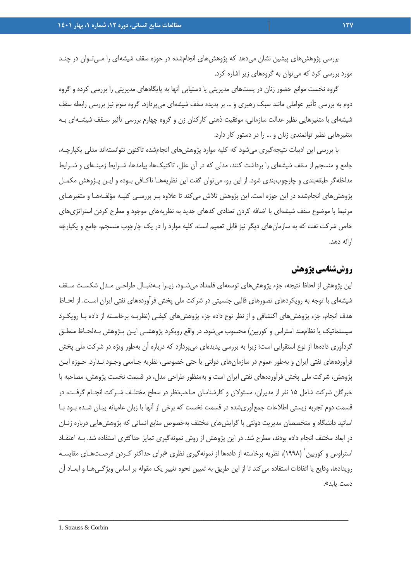بررسي پژوهش هاي پيشين نشان مي دهد كه پژوهش هاي انجامشده در حوزه سقف شيشهاي را مـي تـوان در چنــد مورد بررسي كرد كه ميتوان به گروههاي زير اشاره كرد.

گروه نخست موانع حضور زنان در پستهاي مديريتي يا دستيابي آنها به پايگاههاي مديريتي را بررسي كرده و گروه دوم به بررسي تأثير عواملي مانند سبك رهبري و ... بر پديده سقف شيشهاي ميپردازد. گروه سوم نيز بررسي رابطه سقف شيشهاي با متغيرهايي نظير عدالت سازماني، موفقيت ذهني كاركنان زن و گروه چهارم بررسي تأثير سـقف شيشـهاي بـه متغيرهايي نظير توانمندي زنان و ... را در دستور كار دارد.

با بررسي اين ادبيات نتيجهگيري ميشود كه كليه موارد پژوهشهاي انجامشده تاكنون نتوانستهاند مدلي يكپارچـه، جامع و منسجم از سقف شيشهاي را برداشت كنند، مدلي كه در آن علل، تاكتيكها، پيامدها، شـرايط زمينـهاي و شـرايط مداخلهگر طبقهبندي و چارچوببندي شود. از اين رو، ميتوان گفت اين نظريههـا ناكـافي بـوده و ايـن پـژوهش مكمـل پژوهشهاي انجامشده در اين حوزه است. اين پژوهش تلاش ميكند تا علاوه بـر بررسـي كليـه مؤلفـههـا و متغيرهـاي مرتبط با موضوع سقف شيشهاي با اضافه كردن تعدادي كدهاي جديد به نظريههاي موجود و مطرح كردن استراتژيهاي خاص شركت نفت كه به سازمانهاي ديگر نيز قابل تعميم است، كليه موارد را در يك چارچوب منسجم، جامع و يكپارچه ارائه دهد.

# **روششناسي پژوهش**

اين پژوهش از لحاظ نتيجه، جزء پژوهش هاي توسعهاي قلمداد مي شـود، زيـرا بـهدنبـال طراحـي مـدل شكسـت سـقف شيشهاي با توجه به رويكردهاي تصورهاي قالبي جنسيتي در شركت ملي پخش فرآوردههاي نفتي ايران اسـت. از لحـاظ هدف انجام، جزء پژوهشهاي اكتشافي و از نظر نوع داده جزء پژوهشهاي كيفـي (نظريـه برخاسـته از داده بـا رويكـرد سيستماتيك يا نظاممند استراس و كوربين) محسوب ميشود. در واقع رويكرد پژوهشـي ايـن پـژوهش بـهلحـاظ منطـق گردآوري دادهها از نوع استقرايي است؛ زيرا به بررسي پديدهاي ميپردازد كه درباره آن بهطور ويژه در شركت ملي پخش فرآوردههاي نفتي ايران و بهطور عموم در سازمانهاي دولتي يا حتي خصوصي، نظريه جـامعي وجـود نـدارد. حـوزه ايـن پژوهش، شركت ملي پخش فرآوردههاي نفتي ايران است و بهمنظور طراحي مدل، در قسمت نخست پژوهش، مصاحبه با خبرگان شركت شامل 15 نفر از مديران، مسئولان و كارشناسان صاحبنظر در سطح مختلـف شـركت انجـام گرفـت، در قسمت دوم تجربه زيستي اطلاعات جمعآوريشده در قسمت نخست كه برخي از آنها با زبان عاميانه بيـان شـده بـود بـا اساتيد دانشگاه و متخصصان مديريت دولتي با گرايشهاي مختلف بهخصوص منابع انساني كه پژوهشهايي درباره زنـان در ابعاد مختلف انجام داده بودند، مطرح شد. در اين پژوهش از روش نمونهگيري تمايز حداكثري استفاده شد. بـه اعتقـاد استراوس و كوربين<sup>٬</sup> (١٩٩٨)، نظريه برخاسته از دادهها از نمونهگيري نظري «براي حداكثر كـردن فرصـتهـاي مقايسـه رويدادها، وقايع يا اتفاقات استفاده ميكند تا از اين طريق به تعيين نحوه تغيير يك مقوله بر اساس ويژگـيهـا و ابعـاد آن دست يابد».

ــــــــــــــــــــــــــــــــــــــــــــــــــــــــــــــــــــــــــــــــــــــــــــــــــــــــــــــــــــــــــــــــــــ

1. Strauss & Corbin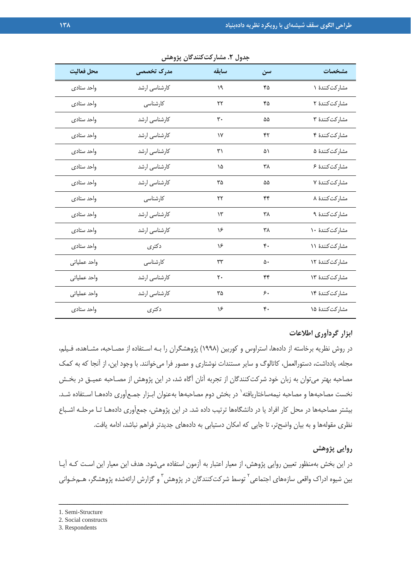| جدول ۲. مشارکتکنندگان پژوهش |               |       |    |                 |
|-----------------------------|---------------|-------|----|-----------------|
| محل فعاليت                  | مدرک تخصصی    | سابقه | سن | مشخصات          |
| واحد ستادى                  | کارشناسی ارشد | ۱۹    | ۴۵ | مشارکتکنندهٔ ۱  |
| واحد ستادى                  | كارشناسى      | ۲۲    | ۴۵ | مشاركت كنندة ٢  |
| واحد ستادى                  | كارشناسى ارشد | ٣٠    | ۵۵ | مشاركت كنندة ٣  |
| واحد ستادى                  | کارشناسی ارشد | ۱٧    | ۴۲ | مشاركت كنندة ۴  |
| واحد ستادى                  | كارشناسى ارشد | ٣١    | ۵١ | مشاركت كنندة ۵  |
| واحد ستادى                  | كارشناسى ارشد | ۱۵    | ٣٨ | مشاركت كنندة ع  |
| واحد ستادى                  | كارشناسى ارشد | ٣۵    | ۵۵ | مشاركت كنندة ٧  |
| واحد ستادى                  | كارشناسى      | ۲۲    | ۴۴ | مشاركت كنندهٔ ۸ |
| واحد ستادى                  | كارشناسي ارشد | ۱۳    | ٣٨ | مشاركت كنندة ٩  |
| واحد ستادى                  | كارشناسى ارشد | ۱۶    | ۳۸ | مشاركت كنندة ١٠ |
| واحد ستادى                  | دكترى         | ۱۶    | ۴۰ | مشاركت كنندة ١١ |
| واحد عملياتي                | كارشناسى      | ٣٣    | ۵۰ | مشاركت كنندة ١٢ |

## **ابزار گردآوري اطلاعات**

در روش نظريه برخاسته از دادهها، استراوس و كوربين (1998) پژوهشگران را بـه اسـتفاده از مصـاحبه، مشـاهده، فـيلم، مجله، يادداشت، دستورالعمل، كاتالوگ و ساير مستندات نوشتاري و مصور فرا ميخوانند. با وجود اين، از آنجا كه به كمك مصاحبه بهتر ميتوان به زبان خود شركتكنندگان از تجربه آنان آگاه شد، در اين پژوهش از مصـاحبه عميـق در بخـش نخست مصاحبهها و مصاحبه نيمهساختاريافته<sup>\</sup> در بخش دوم مصاحبهها بهعنوان ابـزار جمـعآوري دادههـا اسـتفاده شـد. بيشتر مصاحبهها در محل كار افراد يا در دانشگاهها ترتيب داده شد. در اين پژوهش، جمعآوري دادههـا تـا مرحلـه اشـباع نظري مقولهها و به بيان واضحتر، تا جايي كه امكان دستيابي به دادههاي جديدتر فراهم نباشد، ادامه يافت.

مشاركتكنندة 13 44 20 كارشناسي ارشد واحد عملياتي

مشاركتكنندة ١۴ مساركتكنندة ٢٥ كارشناسي ارشد واحد عملياتي

مشاركتكنندة 15 40 16 دكتري واحد ستادي

#### **روايي پژوهش**

در اين بخش بهمنظور تعيين روايي پژوهش، از معيار اعتبار به آزمون استفاده ميشود. هدف اين معيار اين اسـت كـه آيـا يين شيوه ادراک واقعی سازههای اجتماعی<sup>۲</sup> توسط شرکتکنندگان در پژوهش<sup>۳</sup> و گزارش ارائهشده پژوهشگر، هــمخـوانی

<sup>1.</sup> Semi-Structure

<sup>2.</sup> Social constructs

<sup>3.</sup> Respondents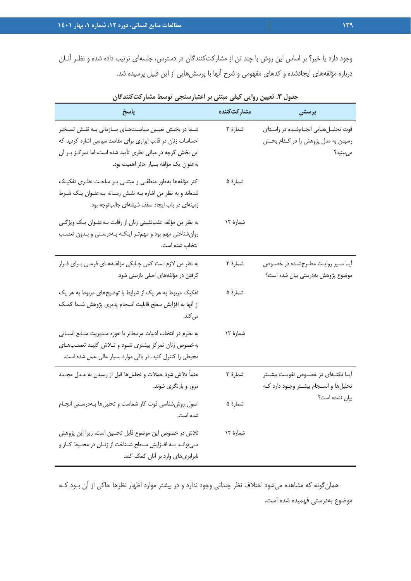وجود دارد يا خير؟ بر اساس اين روش با چند تن از مشاركتكنندگان در دسترس، جلسهاي ترتيب داده شده و نظـر آنـان درباره مؤلفههاي ايجادشده و كدهاي مفهومي و شرح آنها با پرسشهايي از اين قبيل پرسيده شد.

| پاسخ                                                                                                                                                                                                                            | مشاركتكننده | پرسش                                                                               |
|---------------------------------------------------------------------------------------------------------------------------------------------------------------------------------------------------------------------------------|-------------|------------------------------------------------------------------------------------|
| شـما در بخـش تعیـین سیاسـتهـای سـازمانی بـه نقـش تسـخیر<br>احساسات زنان در قالب ابزاری برای مقاصد سیاسی اشاره کردید که<br>این بخش گرچه در مبانی نظری تأیید شده است، اما تمرکـز بـر آن<br>بهعنوان يك مؤلفه بسيار حائز اهميت بود. | شمارهٔ ۳    | قوت تحلیلهایی انجامشده در راستای<br>رسیدن به مدل پژوهش را در کدام بخش<br>مى بينيد؟ |
| اکثر مؤلفهها بهطور منطقى و مبتنى بر مباحث نظرى تفكيك<br>شدهاند و به نظر من اشاره بـه نقـش رسـانه بـهعنـوان يـك شـرط<br>زمینهای در باب ایجاد سقف شیشهای جالبتوجه بود.                                                            | شمارهٔ ۵    |                                                                                    |
| به نظر من مؤلفه عقبنشینی زنان از رقابت بـهعنـوان یـک ویژگـی<br>روان شناختی مهم بود و مهم تر اینکـه بـهدرسـتی و بـدون تعصـب<br>انتخاب شده است.                                                                                   | شمارهٔ ۱۲   |                                                                                    |
| به نظر من لازم است کمی چـابکی مؤلفـههـای فرعـی بـرای قـرار<br>گرفتن در مؤلفههای اصلی بازبینی شود.                                                                                                                               | شمارهٔ ۳    | آیا سیر روایت مطرحشده در خصوص<br>موضوع پژوهش بهدرستی بیان شده است؟                 |
| تفکیک مربوط به هر یک از شرایط با توضیحهای مربوط به هر یک<br>از آنها به افزایش سطح قابلیت انسجام پذیری پژوهش شـما کمـک<br>می کند.                                                                                                | شمارهٔ ۵    |                                                                                    |
| به نظرم در انتخاب ادبيات مرتبطتر با حوزه مـديريت منـابع انسـاني<br>بهخصوص زنان تمركز بيشترى شود و تلاش كنيد تعصبهاى<br>محیطی را کنترل کنید. در باقی موارد بسیار عالی عمل شده است.                                               | شمارهٔ ۱۲   |                                                                                    |
| حتماً تلاش شود جملات و تحليلها قبل از رسيدن به مـدل مجـدد<br>مرور و بازنگری شوند.                                                                                                                                               | شمارهٔ ۳    | آیــا نکتــهای در خصــوص تقویــت بیشــتر<br>تحلیلها و انسجام بیشتر وجود دارد که    |
| اصول روش شناسی قوت کار شماست و تحلیلها بـهدرسـتی انجـام<br>شده است.                                                                                                                                                             | شمارهٔ ۵    | بیان نشده است؟                                                                     |
| تلاش در خصوص این موضوع قابل تحسین است، زیرا این پژوهش<br>می تواند به افزایش سطح شناخت از زنان در محیط کار و<br>نابرابری های وارد بر آنان کمک کند.                                                                               | شمارهٔ ۱۲   |                                                                                    |

**جدول .3 تعيين روايي كيفي مبتني بر اعتبارسنجي توسط مشاركتكنندگان** 

همانگونه كه مشاهده ميشود اختلاف نظر چنداني وجود ندارد و در بيشتر موارد اظهار نظرها حاكي از آن بـود كـه موضوع بهدرستي فهميده شده است.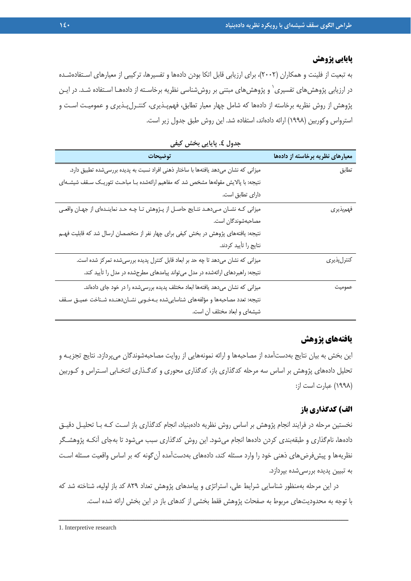#### **پايايي پژوهش**

به تبعيت از فلينت و همكاران (2002)، براي ارزيابي قابل اتكا بودن دادهها و تفسيرها، تركيبي از معيارهاي اسـتفادهشـده در ارزيابى پژوهش $_2$ ماى تفسيرى $\,{}^{'}\,$ و پژوهش $\,$ هاى مبتنى بر روش $\,$ شناسى نظريه برخاسـته از دادههـا اسـتفاده شـد. در ايـن پژوهش از روش نظريه برخاسته از دادهها كه شامل چهار معيار تطابق، فهمپـذيري، كنتـرلپـذيري و عموميـت اسـت و استرواس وكوربين (1998) ارائه دادهاند، استفاده شد. اين روش طبق جدول زير است.

| توضيحات                                                                                | معیارهای نظریه برخاسته از دادهها |
|----------------------------------------------------------------------------------------|----------------------------------|
| میزانی که نشان میدهد یافتهها با ساختار ذهنی افراد نسبت به پدیده بررسیشده تطبیق دارد.   | تطابق                            |
| نتیجه: با پالایش مقولهها مشخص شد که مفاهیم ارائهشده بـا مباحـث تئوریـک سـقف شیشـهای    |                                  |
| دارای تطابق است.                                                                       |                                  |
| میزانی کـه نشـان مـی‹هـد نتـایج حاصـل از پـژوهش تـا چـه حـد نماینـدهای از جهـان واقعـی | فهمپذيري                         |
| مصاحبهشوندگان است.                                                                     |                                  |
| نتیجه: یافتههای پژوهش در بخش کیفی برای چهار نفر از متخصصان ارسال شد که قابلیت فهـم     |                                  |
| نتايج را تأييد كردند.                                                                  |                                  |
| میزانی که نشان میدهد تا چه حد بر ابعاد قابل کنترل پدیده بررسیشده تمرکز شده است.        | كنترل پذير <i>ي</i>              |
| نتیجه: راهبردهای ارائهشده در مدل می تواند پیامدهای مطرحشده در مدل را تأیید کند.        |                                  |
| میزانی که نشان میدهد یافتهها ابعاد مختلف پدیده بررسیشده را در خود جای دادهاند.         | عموميت                           |
| نتيجه: تعدد مصاحبهها و مؤلفههاى شناسايىشده بـهخـوبى نشـان‹هنـده شـناخت عميـق سـقف      |                                  |
| شیشهای و ابعاد مختلف آن است.                                                           |                                  |

**جدول .4 پايايي بخش كيفي** 

# **يافتههاي پژوهش**

اين بخش به بيان نتايج بهدستآمده از مصاحبهها و ارائه نمونههايي از روايت مصاحبهشوندگان ميپردازد. نتايج تجزيـه و تحليل دادههاي پژوهش بر اساس سه مرحله كدگذاري باز، كدگذاري محوري و كدگـذاري انتخـابي اسـتراس و كـوربين (1998) عبارت است از:

#### **الف) كدگذاري باز**

نخستين مرحله در فرايند انجام پژوهش بر اساس روش نظريه دادهبنياد، انجام كدگذاري باز اسـت كـه بـا تحليـل دقيـق دادهها، نامگذاري و طبقهبندي كردن دادهها انجام ميشود. اين روش كدگذاري سبب ميشود تا بهجاي آنكـه پژوهشـگر نظريهها و پيشفرضهاي ذهني خود را وارد مسئله كند، دادههاي بهدستآمده آن گونه كه بر اساس واقعيت مسئله اسـت به تبيين پديده بررسيشده بپردازد.

در اين مرحله بهمنظور شناسايي شرايط علي، استراتژي و پيامدهاي پژوهش تعداد 829 كد باز اوليه، شناخته شد كه با توجه به محدوديتهاي مربوط به صفحات پژوهش فقط بخشي از كدهاي باز در اين بخش ارائه شده است.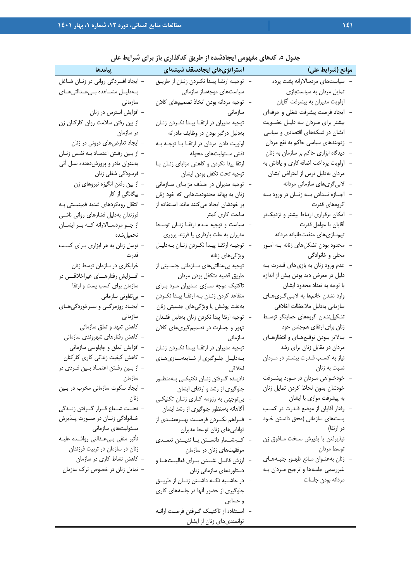| ييامدها                                    | ה היה של האליטי הרייטוריין והע<br>استراتژیهای ایجادسقف شیشهای | موانع (شرايط على)                        |
|--------------------------------------------|---------------------------------------------------------------|------------------------------------------|
| - ایجاد افسردگی روانی در زنـان شـاغل       | توجيـه ارتقـا پيـدا نكـردن زنـان از طريـق                     | سیاستهای مردسالارانه پشت پرده            |
| بــهدليــل مشــاهده بــىعــدالتىهــاى      | سیاستهای موجهساز سازمانی                                      | تمایل مردان به سیاستبازی                 |
| سازمانى                                    | توجيه مردانه بودن اتخاذ تصميمهاى كلان                         | اولويت مديران به پيشرفت آقايان           |
| – افزایش استرس در زنان                     | سازمانى                                                       | ايجاد فرصت پيشرفت شغلي و حرفهاي          |
| – از بین رفتن سلامت روان کارکنان زن        | توجیه مدیران در ارتقـا پیـدا نکـردن زنــان                    | بیشتر برای مـردان بـه دلیـل عضـویت       |
| در سازمان                                  | بهدلیل درگیر بودن در وظایف مادرانه                            | ایشان در شبکههای اقتصادی و سیاسی         |
| - ایجاد تعارضهای درونی در زنان             | اولویت دادن مردان در ارتقـا بـا توجـه بـه                     | زدوبندهای سیاسی حاکم به نفع مردان        |
| - از بـین رفـتن اعتمـاد بـه نفـس زنـان     | نقش مسئوليتهاى محوله                                          | دیدگاه ابزاری حاکم بر سازمان به زنان     |
| بهعنوان مادر و پرورشدهنده نسل آتی          | ارتقا پیدا نکردن و کاهش مزایای زنبان با                       | اولویت پرداخت اضافه کاری و پاداش به      |
| - فرسودگی شغلی زنان                        | توجيه تحت تكفل بودن ايشان                                     | مردان بهدلیل ترس از اعتراض ایشان         |
| – از بین رفتن انگیزه نیروهای زن            | توجیه مدیران در حذف مزایای سازمانی                            | لابیگریهای سازمانی مردانه                |
| -  بیگانگی از  کار                         | زنان به بهانه محدودیتهایی که خود زنان                         | اجــازه نــدادن بــه زنــان در ورود بــه |
| – انتقال رویکردهای شدید فمینیستی بـه       | بر خودشان ایجاد می کنند مانند استفاده از                      | گروههای قدرت                             |
| فرزندان بهدليل فشارهاى روانى ناشى          | ساعت کاری کمتر                                                | امکان برقراری ارتباط بیشتر و نزدیکتر     |
| از جــو مردســالارانه كــه بــر ايشــان    | سیاست و توجیه عدم ارتقا زنان توسط                             | أقايان با عوامل قدرت                     |
| تحميلشده                                   | مدیران به علت بارداری یا فرزند پروری                          | تیم سازی های منفعت طلبانه مردانه         |
| - توسل زنان به هر ابزاری بـرای کسـب        | توجيـه ارتقـا پيـدا نكـردن زنـان بـهدليـل                     | محدود بودن تشكلهاى زنانه بـه امــور      |
| قدرت                                       | ویژگیهای زنانه                                                | محلی و خانوادگی                          |
| - خرابکاری در سازمان توسط زنان             | توجیه بیعدالتیهای سـازمانی جنسـیتی از                         | عدم ورود زنان به بازیهای قـدرت بـه       |
| - افـــزایش رفتارهــــای غیراخلاقــــی در  | طريق قضيه متكفل بودن مردان                                    | دلیل در معرض دید بودن بیش از اندازه      |
| سازمان برای کسب پست و ارتقا                | تاکتیک موجه سـازی مـدیران مـرد بـرای                          | با توجه به تعداد محدود ایشان             |
| - بىتفاوتى سازمانى                         | متقاعد کردن زنـان بـه ارتقـا پيـدا نکـردن                     | وارد نشدن خانمها به لابـيگـرىهـاي        |
| - ایجـاد روزمرگـی و سـرخوردگیهـای          | بەعلت پوشش يا ويژگىھاى جنسيتى زنان                            | سازمانی بهدلیل ملاحظات اخلاقی            |
| سازمانى                                    | توجيه ارتقا پيدا نكردن زنان بهدليل فقـدان                     | تشكيلنشدن گروههاى حمايتگر توسط           |
| – کاهش تعهد و تعلق سازمانی                 | تهور و جسارت در تصمیم گیریهای کلان                            | زنان برای ارتقای همجنس خود               |
| – كاهش رفتارهاى شهروندى سازمانى            | سازمانى                                                       | بالاتر بودن توقعهاى وانتظارهاى           |
| - افزایش تملق و چاپلوسی سازمانی            | توجیه مدیران در ارتقـا پیـدا نکـردن زنـان                     | مردان در مقابل زنان برای رشد             |
| – کاهش کیفیت زندگی کاری کارکنان            | بهدلیل جلوگیری از شایعهسازیهای                                | نیاز به کسب قـدرت بیشـتر در مـردان       |
| – از بــین رفــتن اعتمــاد بــین فــردی در | اخلاقي المستحدث المستحدث المستحدث                             | نسبت به زنان                             |
| سازمان                                     | –   ناديــده گــرفتن زنــان تكنيكــى بــهمنظــور              | خودخــواهي مــردان در مــورد پيشــرفت    |
| - ایجاد سکوت سازمانی مخرب در بین           | جلوگیری از رشد و ارتقای ایشان                                 | خودشان بدون لحاظ كردن تمايل زنان         |
| زنان                                       | بی توجهی به رزومه کاری زنـان تکنیکـی                          | به پیشرفت موازی با ایشان                 |
| - تحـت شـعاع قــرار گــرفتن زنــدگي        | آگاهانه بهمنظور جلوگیری از رشد ایشان                          | رفتار آقایان از موضع قـدرت در کسـب       |
| خــانوادگی زنــان در صــورت پــذيرش        | فـراهم نكـردن فرصــت بهــرهمنــدى از                          | پستهای سازمانی (محق دانستن خـود          |
| مسئولیتهای سازمانی                         | تواناییهای زنان توسط مدیران                                   | در ارتقا)                                |
| - تأثير منفى بىءدالتى رواشده عليـه         | كمشمار دانستن يا نديـدن تعمـدي                                | نپذيرفتن يا پذيرش سخت مـافوق زن          |
| زنان در سازمان در تربیت فرزندان            | موفقیتهای زنان در سازمان                                      | توسط مردان                               |
| - کاهش نشاط کاری در سازمان                 | ارزش قائــل نشــدن بــراي فعاليــتهــا و                      | زنان بهعنوان مانع ظهور جنبههاى           |
| - تمایل زنان در خصوص ترک سازمان            | دستاوردهای سازمانی زنان                                       | غیررسمی جلسهها و ترجیح مـردان بـه        |
|                                            | در حاشــيه نگــه داشــتن زنــان از طريــق                     | مردانه بودن جلسات                        |
|                                            | جلوگیری از حضور آنها در جلسههای کاری                          |                                          |
|                                            | و حساس                                                        |                                          |
|                                            | – اسـتفاده از تاكتيـك گـرفتن فرصـت ارائــه                    |                                          |
|                                            | توانمندیهای زنان از ایشان                                     |                                          |

# **جدول .5 كدهاي مفهومي ايجادشده از طريق كدگذاري باز براي شرايط علي**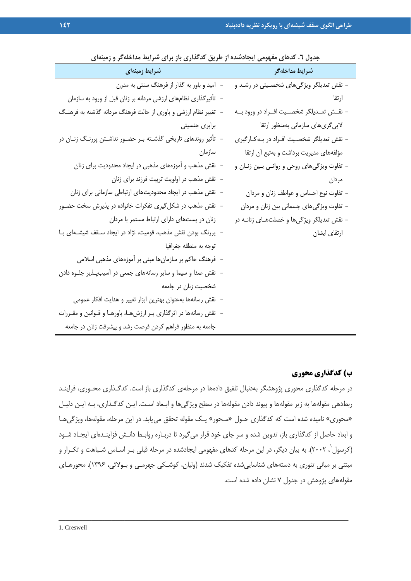| جدوں ، . تدهای معهومی ایجادشده از طریق تندیداری باز برای سرایط مداخله تر و زمینهای<br>موسینه ای مینه <i>ای</i> مینه ای مینه ای با | شرايط مداخلهگر                                 |
|-----------------------------------------------------------------------------------------------------------------------------------|------------------------------------------------|
| – امید و باور به گذار از فرهنگ سنتی به مدرن                                                                                       | - نقش تعدیلگر ویژگیهای شخصـیتی در رشـد و       |
| -  تأثیرگذاری نظامهای ارزشی مردانه بر زنان قبل از ورود به سازمان                                                                  | ارتقا                                          |
| – تغییر نظام ارزشی و باوری از حالت فرهنگ مردانه گذشته به فرهنگ                                                                    | – نقــش تعــديلگر شخصــيت افــراد در ورود بــه |
| برابری جنسیتی                                                                                                                     | لابیگریهای سازمانی بهمنظور ارتقا               |
| – تأثیر روندهای تاریخی گذشـته بـر حضـور نداشـتن پررنـگ زنـان در                                                                   | - نقش تعدیلگر شخصیت افـراد در بـهکـارگیری      |
| سازمان                                                                                                                            | مؤلفههای مدیریت برداشت و بهتبع آن ارتقا        |
| – نقش مذهب و آموزههای مذهبی در ایجاد محدودیت برای زنان                                                                            | – تفاوت ویژگیهای روحی و روانـی بـین زنـان و    |
| - نقش مذهب در اولويت تربيت فرزند براي زنان                                                                                        | مردان                                          |
| – نقش مذهب در ایجاد محدودیتهای ارتباطی سازمانی برای زنان                                                                          | - تفاوت نوع احساس و عواطف زنان و مردان         |
| – نقش مذهب در شکل گیری تفکرات خانواده در پذیرش سخت حضـور                                                                          | - تفاوت ویژگیهای جسمانی بین زنان و مردان       |
| زنان در پستهای دارای ارتباط مستمر با مردان                                                                                        | - نقش تعدیلگر ویژگیها و خصلتهـای زنانـه در     |
| – پررنگ بودن نقش مذهب، قومیت، نژاد در ایجاد سـقف شیشـهای بـا                                                                      | ارتقاي ايشان                                   |
| توجه به منطقه جغرافيا                                                                                                             |                                                |
| - فرهنگ حاکم بر سازمانها مبنی بر آموزههای مذهبی اسلامی                                                                            |                                                |
| – نقش صدا و سیما و سایر رسانههای جمعی در آسیبپذیر جلـوه دادن                                                                      |                                                |
| شخصیت زنان در جامعه                                                                                                               |                                                |
| – نقش رسانهها بهعنوان بهترين ابزار تغيير و هدايت افكار عمومي                                                                      |                                                |
| – نقش رسانهها در اثرگذاری بـر ارزشهـا، باورهـا و قـوانین و مقـررات                                                                |                                                |
| جامعه به منظور فراهم كردن فرصت رشد و پيشرفت زنان در جامعه                                                                         |                                                |

**جدول .6 كدهاي مفهومي ايجادشده از طريق كدگذاري باز براي شرايط مداخلهگر و زمينهاي** 

#### **ب) كدگذاري محوري**

در مرحله كدگذاري محوري پژوهشگر بهدنبال تلفيق دادهها در مرحلهي كدگذاري باز است. كدگـذاري محـوري، فراينـد ربطدهي مقولهها به زير مقولهها و پيوند دادن مقولهها در سطح ويژگيها و ابـعاد اسـت. ايـن كدگـذاري، بـه ايـن دليـل «محوري» ناميده شده است كه كدگذاري حـول «مـحور» يـك مقوله تحقق مييابد. در اين مرحله، مقولهها، ويژگيهـا و ابعاد حاصل از كدگذاري باز، تدوين شده و سر جاي خود قرار ميگيرد تا دربـاره روابـط دانـش فزاينـدهاي ايجـاد شـود 1 (كرسول ، 2002). به بيان ديگر، در اين مرحله كدهاي مفهومي ايجادشده در مرحله قبلي بـر اسـاس شـباهت و تكـرار و مبتني بر مباني تئوري به دستههاي شناساييشده تفكيك شدند (وليان، كوشـكي جهرمـي و بـولائي، 1396). محورهـاي مقولههاي پژوهش در جدول 7 نشان داده شده است.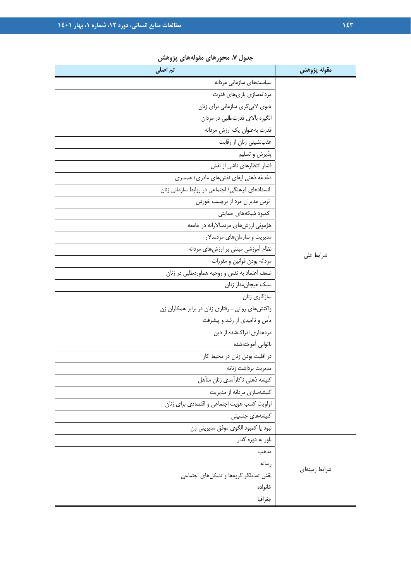| جدوں ۰. سنورسی سوستی پروسس<br>تم اصلی            | مقوله پژوهش   |
|--------------------------------------------------|---------------|
| سیاستهای سازمانی مردانه                          |               |
| مردانەسازى بازىھاي قدرت                          |               |
| تابوی لابیگری سازمانی برای زنان                  |               |
| انگیزه بالای قدرتطلبی در مردان                   |               |
| قدرت بهعنوان يك ارزش مردانه                      |               |
| عقبنشینی زنان از رقابت                           |               |
| پذيرش و تسليم                                    |               |
| فشار انتظارهای ناشی از نقش                       |               |
| دغدغه ذهنی ایفای نقش های مادری/ همسری            |               |
| انسدادهای فرهنگی/ اجتماعی در روابط سازمانی زنان  |               |
| ترس مدیران مرد از برچسب خوردن                    |               |
| كمبود شبكههاى حمايتى                             |               |
| هژمونی ارزشهای مردسالارانه در جامعه              |               |
| مدیریت و سازمانهای مردسالار                      |               |
| نظام أموزشي مبتني بر ارزشهاى مردانه              | شرايط على     |
| مردانه بودن قوانين و مقررات                      |               |
| ضعف اعتماد به نفس و روحیه هماوردطلبی در زنان     |               |
| سبک هیجان مدار زنان                              |               |
| سازگاری زنان                                     |               |
| واکنشهای روانی ـ رفتاری زنان در برابر همکاران زن |               |
| یأس و ناامیدی از رشد و پیشرفت                    |               |
| مردمداری ادراکشده از دین                         |               |
| ناتوانى أموختهشده                                |               |
| در اقلیت بودن زنان در محیط کار                   |               |
| مديريت برداشت زنانه                              |               |
| كليشه ذهني ناكارأمدي زنان متأهل                  |               |
| كليشهسازي مردانه از مديريت                       |               |
| اولويت كسب هويت اجتماعي واقتصادي براي زنان       |               |
| کلیشههای جنسیتی                                  |               |
| نبود يا كمبود الگوى موفق مديريتي زن              |               |
| باور به دوره گذار                                |               |
| مذهب                                             |               |
| رسانه                                            | شرايط زمينهاي |
| نقش تعديلكر كروهها وتشكلهاى اجتماعى              |               |
| خانواده                                          |               |
| جغرافيا                                          |               |

**جدول .7 محورهاي مقولههاي پژوهش**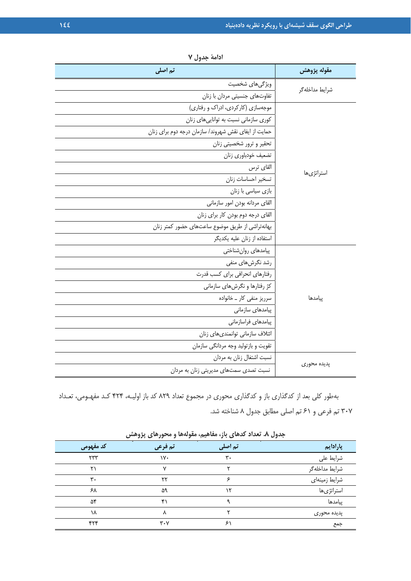| تم اصلی                                              | مقوله پژوهش    |  |  |
|------------------------------------------------------|----------------|--|--|
| ویژگیهای شخصیت                                       |                |  |  |
| تفاوتهای جنسیتی مردان با زنان                        | شرايط مداخلهگر |  |  |
| موجهسازی (کارکردی، ادراک و رفتاری)                   |                |  |  |
| کوری سازمانی نسبت به تواناییهای زنان                 |                |  |  |
| حمایت از ایفای نقش شهروند/ سازمان درجه دوم برای زنان |                |  |  |
| تحقير و ترور شخصيتي زنان                             |                |  |  |
| تضعيف خودباوري زنان                                  |                |  |  |
| القاى ترس                                            | استراتژىھا     |  |  |
| تسخير احساسات زنان                                   |                |  |  |
| بازی سیاسی با زنان                                   |                |  |  |
| القاى مردانه بودن امور سازمانى                       |                |  |  |
| القای درجه دوم بودن کار برای زنان                    |                |  |  |
| بهانهتراشی از طریق موضوع ساعتهای حضور کمتر زنان      |                |  |  |
| استفاده از زنان عليه يكديگر                          |                |  |  |
| پیامدهای روانشناختی                                  |                |  |  |
| رشد نگرشهای منفی                                     |                |  |  |
| رفتارهای انحرافی برای کسب قدرت                       |                |  |  |
| کژ رفتارها و نگرشهای سازمانی                         |                |  |  |
| سرریز منفی کار _ خانواده                             | پیامدها        |  |  |
| پیامدهای سازمانی                                     |                |  |  |
| پیامدهای فراسازمانی                                  |                |  |  |
| ائتلاف سازماني توانمندىهاى زنان                      |                |  |  |
| تقويت و بازتوليد وجه مردانگي سازمان                  |                |  |  |
| نسبت اشتغال زنان به مردان                            | پدیده محوری    |  |  |
| نسبت تصدی سمتهای مدیریتی زنان به مردان               |                |  |  |

**ادامة جدول 7** 

بهطور كلي بعد از كدگذاري باز و كدگذاري محوري در مجموع تعداد 829 كد باز اوليـه، 424 كـد مفهـومي، تعـداد 307 تم فرعي و 61 تم اصلي مطابق جدول 8 شناخته شد.

|                      | $\sim$ $\sim$ $\sim$ $\sim$<br>$\sim$ | .              | $\sim$ $\sim$   |
|----------------------|---------------------------------------|----------------|-----------------|
| كد مفهومى            | تم فرعی                               | تم اصلی        | پارادایم        |
| $\gamma\gamma\gamma$ | $\mathsf{v}$                          | $\mathbf{r}$ . | شرايط على       |
| ۲۱                   | $\checkmark$                          |                | شرايط مداخله گر |
| $\mathbf{r}$ .       | ۲۲                                    | ¢              | شرايط زمينهاي   |
| ۶۸                   | ۵۹                                    | ۱۲             | استراتژىها      |
| ۵۴                   | ۴۱                                    |                | پیامدها         |
| ١٨                   | л                                     |                | پدیده محوری     |
| ۴۲۴                  | $\mathbf{r} \cdot \mathbf{v}$         | ۶١             | جمع             |

**جدول .8 تعداد كدهاي باز، مفاهيم، مقولهها و محورهاي پژوهش**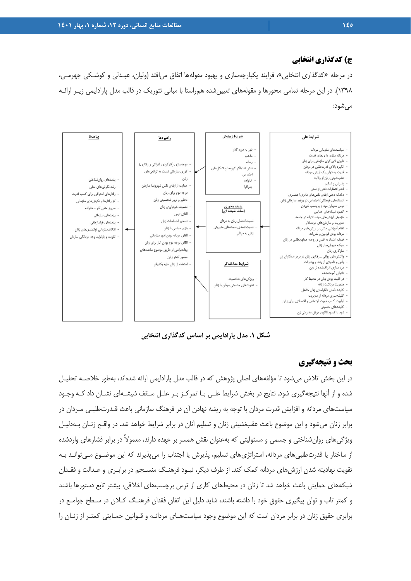#### **ج) كدگذاري انتخابي**

در مرحله «كدگذاري انتخابي»، فرايند يكپارچهسازي و بهبود مقولهها اتفاق ميافتد (وليان، عبـدلي و كوشـكي جهرمـي، 1398). در اين مرحله تمامي محورها و مقولههاي تعيينشده همراستا با مباني تئوريك در قالب مدل پارادايمي زيـر ارائـه ميشود:



**شكل .1 مدل پارادايمي بر اساس كدگذاري انتخابي** 

#### **بحث و نتيجهگيري**

در اين بخش تلاش ميشود تا مؤلفههاي اصلي پژوهش كه در قالب مدل پارادايمي ارائه شدهاند، بهطور خلاصـه تحليـل شده و از آنها نتيجهگيري شود. نتايج در بخش شرايط علـي بـا تمركـز بـر علـل سـقف شيشـهاي نشـان داد كـه وجـود سياستهاي مردانه و افزايش قدرت مردان با توجه به ريشه نهادن آن در فرهنگ سازماني باعث قـدرتطلبـي مـردان در برابر زنان ميشود و اين موضوع باعث عقبنشيني زنان و تسليم آنان در برابر شرايط خواهد شد. در واقـع زنـان بـهدليـل ويژگيهاي روانشناختي و جسمي و مسئوليتي كه بهعنوان نقش همسر بر عهده دارند، معمولاً در برابر فشارهاي واردشده از ساختار يا قدرتطلبيهاي مردانه، استراتژيهاي تسليم، پذيرش يا اجتناب را ميپذيرند كه اين موضـوع مـيتوانـد بـه تقويت نهادينه شدن ارزشهاي مردانه كمك كند. از طرف ديگر، نبـود فرهنـگ منسـجم در برابـري و عـدالت و فقـدان شبكههاي حمايتي باعث خواهد شد تا زنان در محيطهاي كاري از ترس برچسبهاي اخلاقي، بيشتر تابع دستورها باشند و كمتر تاب و توان پيگيري حقوق خود را داشته باشند، شايد دليل اين اتفاق فقدان فرهنـگ كـلان در سـطح جوامـع در برابري حقوق زنان در برابر مردان است كه اين موضوع وجود سياستهـاي مردانـه و قـوانين حمـايتي كمتـر از زنـان را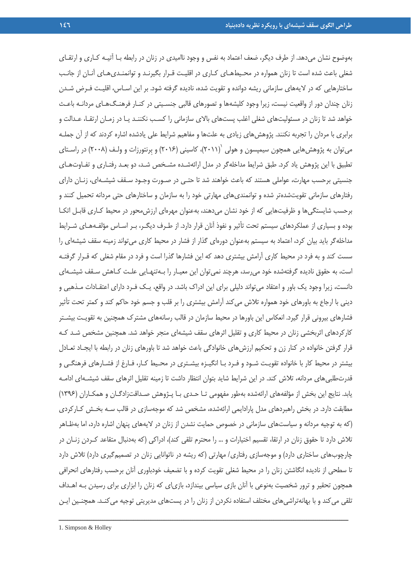بهوضوح نشان ميدهد. از طرف ديگر، ضعف اعتماد به نفس و وجود نااميدي در زنان در رابطه بـا آتيـه كـاري و ارتقـاي شغلي باعث شده است تا زنان همواره در محـيطهـاي كـاري در اقليـت قـرار بگيرنـد و توانمنـديهـاي آنـان از جانـب ساختارهايي كه در لايههاي سازماني ريشه دوانده و تقويت شده، ناديده گرفته شود. بر اين اسـاس، اقليـت فـرض شـدن زنان چندان دور از واقعيت نيست، زيرا وجود كليشهها و تصورهاي قالبي جنسـيتي در كنـار فرهنـگهـاي مردانـه باعـث خواهد شد تا زنان در مسئوليتهاي شغلي اغلب پستهاي بالاي سازماني را كسـب نكننـد يـا در زمـان ارتقـا، عـدالت و برابري با مردان را تجربه نكنند. پژوهشهاي زيادي به علتها و مفاهيم شرايط علي يادشده اشاره كردند كه از آن جملـه می توان به پژوهش هایی همچون سیمپسون و هولی  $'(\lceil \mathord{\cdot} \rceil)$ ، کاسینی  $(\lceil \mathord{\cdot} \rceil)$  و بِرنتورزات و ولـف  $(\lceil \mathord{\cdot} \rceil)$  در راسـتای تطبيق با اين پژوهش ياد كرد. طبق شرايط مداخلهگر در مدل ارائهشـده مشـخص شـد، دو بعـد رفتـاري و تفـاوتهـاي جنسيتي برحسب مهارت، عواملي هستند كه باعث خواهند شد تا حتـي در صـورت وجـود سـقف شيشـهاي، زنـان داراي رفتارهاي سازماني تقويتشدهتر شده و توانمنديهاي مهارتي خود را به سازمان و ساختارهاي حتي مردانه تحميل كنند و برحسب شايستگيها و ظرفيتهايي كه از خود نشان ميدهند، بهعنوان مهرهاي ارزشمحور در محيط كـاري قابـل اتكـا بوده و بسياري از عملكردهاي سيستم تحت تأثير و نفوذ آنان قرار دارد. از طـرف ديگـر، بـر اسـاس مؤلفـههـاي شـرايط مداخلهگر بايد بيان كرد، اعتماد به سيستم بهعنوان دورهاي گذار از فشار در محيط كاري ميتواند زمينه سقف شيشهاي را سست كند و به فرد در محيط كاري آرامش بيشتري دهد كه اين فشارها گذرا است و فرد در مقام شغلي كه قـرار گرفتـه است، به حقوق ناديده گرفتهشده خود ميرسد، هرچند نميتوان اين معيـار را بـهتنهـايي علـت كـاهش سـقف شيشـهاي دانست، زيرا وجود يك باور و اعتقاد ميتواند دليلي براي اين ادراك باشد. در واقع، يـك فـرد داراي اعتقـادات مـذهبي و ديني با ارجاع به باورهاي خود همواره تلاش ميكند آرامش بيشتري را بر قلب و جسم خود حاكم كند و كمتر تحت تأثير فشارهاي بيروني قرار گيرد. انعكاس اين باورها در محيط سازمان در قالب رسانههاي مشترك همچنين به تقويـت بيشـتر كاركردهاي اثربخشي زنان در محيط كاري و تقليل اثرهاي سقف شيشهاي منجر خواهد شد. همچنين مشخص شـد كـه قرار گرفتن خانواده در كنار زن و تحكيم ارزشهاي خانوادگي باعث خواهد شد تا باورهاي زنان در رابطه با ايجـاد تعـادل بيشتر در محيط كار با خانواده تقويـت شـود و فـرد بـا انگيـزه بيشـتري در محـيط كـار، فـارغ از فشـارهاي فرهنگـي و قدرتطلبيهاي مردانه، تلاش كند. در اين شرايط شايد بتوان انتظار داشت تا زمينه تقليل اثرهاي سقف شيشـهاي ادامـه يابد. نتايج اين بخش از مؤلفههاي ارائهشده بهطور مفهومي تـا حـدي بـا پـژوهش صـداقتزادگـان و همكـاران (1396) مطابقت دارد. در بخش راهبردهاي مدل پارادايمي ارائهشده، مشخص شد كه موجهسازي در قالب سـه بخـش كـاركردي (كه به توجيه مردانه و سياستهاي سازماني در خصوص حمايت نشدن از زنان در لايههاي پنهان اشاره دارد، اما بهظـاهر تلاش دارد تا حقوق زنان در ارتقا، تقسيم اختيارات و ... را محترم تلقي كند)، ادراكي (كه بهدنبال متقاعد كـردن زنـان در چارچوبهاي ساختاري دارد) و موجهسازي رفتاري/ مهارتي (كه ريشه در ناتوانايي زنان در تصميمگيري دارد) تلاش دارد تا سطحي از ناديده انگاشتن زنان را در محيط شغلي تقويت كرده و با تضعيف خودباوري آنان برحسب رفتارهاي انحرافي همچون تحقير و ترور شخصيت بهنوعي با آنان بازي سياسي بيندازد، بازياي كه زنان را ابزاري براي رسيدن بـه اهـداف تلقي ميكند و با بهانهتراشيهاي مختلف استفاده نكردن از زنان را در پستهاي مديريتي توجيه ميكنـد. همچنـين ايـن

<sup>1.</sup> Simpson & Holley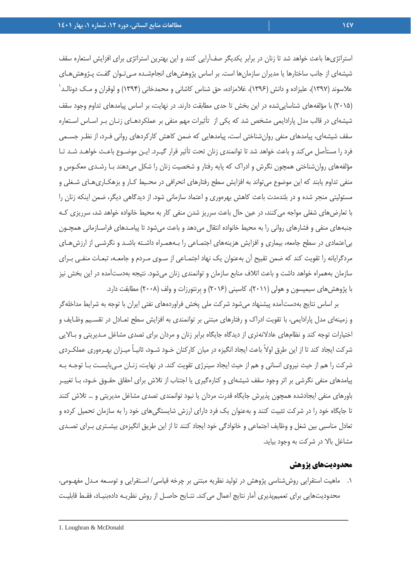استراتژيها باعث خواهد شد تا زنان در برابر يكديگر صفآرايي كنند و اين بهترين استراتژي براي افزايش استعاره سقف شيشهاي از جانب ساختارها يا مديران سازمانها است. بر اساس پژوهشهاي انجامشـده مـيتـوان گفـت پـژوهشهـاي 1 علاسوند (1397)، عليزاده و دانش (1396)، غلامزاده، حق شناس كاشاني و محمدخاني (1394) و لوقران و مـك دونالـد (2015) با مؤلفههاي شناساييشده در اين بخش تا حدي مطابقت دارند. در نهايت، بر اساس پيامدهاي تداوم وجود سقف شيشهاي در قالب مدل پارادايمي مشخص شد كه يكي از تأثيرات مهم منفي بر عملكردهـاي زنـان بـر اسـاس اسـتعاره سقف شيشهاي، پيامدهاي منفي روانشناختي است، پيامدهايي كه ضمن كاهش كاركردهاي رواني فـرد، از نظـر جسـمي فرد را مستأصل ميكند و باعث خواهد شد تا توانمندي زنان تحت تأثير قرار گيـرد. ايـن موضـوع باعـث خواهـد شـد تـا مؤلفههاي روانشناختي همچون نگرش و ادراك كه پايه رفتار و شخصيت زنان را شكل ميدهند بـا رشـدي معكـوس و منفي تداوم يابند كه اين موضوع ميتواند به افزايش سطح رفتارهاي انحرافي در محـيط كـار و بزهكـاريهـاي شـغلي و مسئوليتي منجر شده و در بلندمدت باعث كاهش بهرهوري و اعتماد سازماني شود. از ديدگاهي ديگر، ضمن اينكه زنان را با تعارضهاي شغلي مواجه ميكنند، در عين حال باعث سرريز شدن منفي كار به محيط خانواده خواهد شد، سرريزي كـه جنبههاي منفي و فشارهاي رواني را به محيط خانواده انتقال ميدهد و باعث ميشود تا پيامـدهاي فراسـازماني همچـون بياعتمادي در سطح جامعه، بيماري و افزايش هزينههاي اجتمـاعي را بـههمـراه داشـته باشـد و نگرشـي از ارزشهـاي مردگرايانه را تقويت كند كه ضمن تقبيح آن بهعنوان يك نهاد اجتمـاعي از سـوي مـردم و جامعـه، تبعـات منفـي بـراي سازمان بههمراه خواهد داشت و باعث اتلاف منابع سازمان و توانمندي زنان ميشود. نتيجه بهدستآمده در اين بخش نيز با پژوهشهاي سيمپسون و هولي (2011)، كاسيني (2016) و بِرنتورزات و ولف (2008) مطابقت دارد.

بر اساس نتايج بهدستآمده پيشنهاد ميشود شركت ملي پخش فراوردههاي نفتي ايران با توجه به شرايط مداخلهگر و زمينهاي مدل پارادايمي، با تقويت ادراك و رفتارهاي مبتني بر توانمندي به افزايش سطح تعـادل در تقسـيم وظـايف و اختيارات توجه كند و نظامهاي عادلانهتري از ديدگاه جايگاه برابر زنان و مردان براي تصدي مشاغل مـديريتي و بـالايي شركت ايجاد كند تا از اين طرق اولاً باعث ايجاد انگيزه در ميان كاركنان خـود شـود، ثانيـاً ميـزان بهـرهوري عملكـردي شركت را هم از حيث نيروي انساني و هم از حيث ايجاد سينرژي تقويت كند. در نهايت، زنـان مـيبايسـت بـا توجـه بـه پيامدهاي منفي نگرشي بر اثر وجود سقف شيشهاي و كنارهگيري يا اجتناب از تلاش براي احقاق حقـوق خـود، بـا تغييـر باورهاي منفي ايجادشده همچون پذيرش جايگاه قدرت مردان يا نبود توانمندي تصدي مشاغل مديريتي و ... تلاش كنند تا جايگاه خود را در شركت تثبيت كنند و بهعنوان يك فرد داراي ارزش شايستگيهاي خود را به سازمان تحميل كرده و تعادل مناسبي بين شغل و وظايف اجتماعي و خانوادگي خود ايجاد كنند تا از اين طريق انگيزهي بيشـتري بـراي تصـدي مشاغل بالا در شركت به وجود بيايد.

#### **محدوديتهاي پژوهش**

.1 ماهيت استقرايي روششناسي پژوهش در توليد نظريه مبتني بر چرخه قياسي/ اسـتقرايي و توسـعه مـدل مفهـومي، محدوديتهايي براي تعميمپذيري آمار نتايج اعمال ميكند. نتـايح حاصـل از روش نظريـه دادهبنيـاد، فقـط قابليـت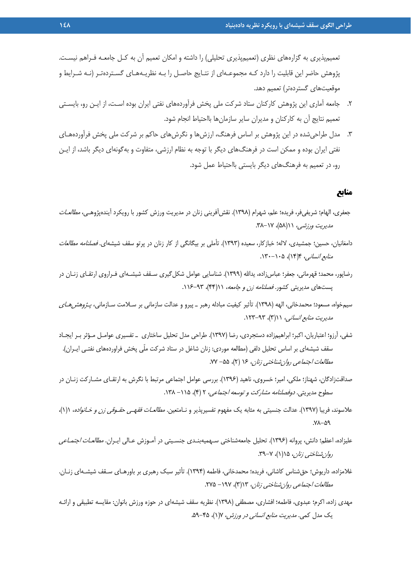تعميمپذيري به گزارههاي نظري (تعميمپذيري تحليلي) را داشته و امكان تعميم آن به كـل جامعـه فـراهم نيسـت. پژوهش حاضر اين قابليت را دارد كـه مجموعـهاي از نتـايج حاصـل را بـه نظريـههـاي گسـتردهتـر (نـه شـرايط و موقعيتهاي گستردهتر) تعميم دهد.

- .2 جامعه آماري اين پژوهش كاركنان ستاد شركت ملي پخش فرآوردههاي نفتي ايران بوده اسـت، از ايـن رو، بايسـتي تعميم نتايج آن به كاركنان و مديران ساير سازمانها بااحتياط انجام شود.
- .3 مدل طراحيشده در اين پژوهش بر اساس فرهنگ، ارزشها و نگرشهاي حاكم بر شركت ملي پخش فرآوردههـاي نفتي ايران بوده و ممكن است در فرهنگهاي ديگر با توجه به نظام ارزشي، متفاوت و بهگونهاي ديگر باشد، از ايـن رو، در تعميم به فرهنگهاي ديگر بايستي بااحتياط عمل شود.

#### **منابع**

- جعفري، الهام؛ شريفيفر، فريده؛ علم، شهرام (١٣٩٨). نقش[فريني زنان در مديريت ورزش كشور با رويكرد آيندهپژوهـي، *مطالعـات* مديريت ورزشي، ١١(۵٨)، ٢٨-٣٨.
- دامغانيان، حسين؛ جمشيدي، لاله؛ خبازكار، سعيده (١٣٩٣). تأملي بر بيگانگي از كار زنان در پرتو سقف شيشهاي. *فصلنامه مطالعات* م*نابع انساني،* ۱۴(۱۴)، ۱۳۰۵-۱۳۰.
- رضاپور، محمد؛ قهرماني، جعفر؛ عباسزاده، يداالله (1399). شناسايي عوامل شكلگيري سـقف شيشـهاي فـراروي ارتقـاي زنـان در پستهاي مديريتي كشور. فصلنامه زن و جامعه، ١١(٢۴)، ٩٣-١١۶.
- سيمخواه، مسعود؛ محمدخاني، الهه (١٣٩٨). تأثير كيفيت مبادله رهبر ـ پيرو و عدالت سازماني بر سـلامت سـازماني، *پـژوهشهـاي* مديريت منابع انساني، ١١(٣)، ٩٣-١٢٣.
- شفي، آرزو؛ اعتباريان، اكبر؛ ابراهيمزاده دستجردي، رضا (1397). طراحي مدل تحليل ساختاري ـ تفسيري عوامـل مـؤثر بـر ايجـاد سقف شيشهاي بر اساس تحليل دلفي (مطالعه موردي: زنان شاغل در ستاد شركت ملّي پخش فراوردههاي نفتـي ايـران). مطالعات اجتماعي روان شناختي زنان، ١۶ (٢)، ٥۵- ٧٧.
- صداقتزادگان، شهناز؛ ملكي، امير؛ خسروي، ناهيد (1396). بررسي عوامل اجتماعي مرتبط با نگرش به ارتقـاي مشـاركت زنـان در سطوح مديريتي. *دوفصلنامه مشاركت و توسعه اجتماعي،* ٢ (۴)، ١١۵- ١٣٨.
- علاسوند، فريبا (1397). عدالت جنسيتي به مثابه يك مفهوم تفسيرپذير و نـامتعين. مطالعـات فقهـي حقـوقي زن <sup>و</sup> خـانواده، 1(1)، .78-59
- عليزاده، اعظم؛ دانش، پروانه (1396). تحليل جامعهشناختي سـهميهبنـدي جنسـيتي در آمـوزش عـالي ايـران. مطالعـات اجتمـاعي رو*ان شناختي زنان*، ۱۵(۱)، ۲-۳۹.
- غلامزاده، داريوش؛ حقشناس كاشاني، فريده؛ محمدخاني، فاطمه (1394). تأثير سبك رهبري بر باورهـاي سـقف شيشـهاي زنـان. مطالعات اجتماعي روان شناختي زنان، ١٦(٣)، ١٩٧- ٢٧۵.
- مهدي زاده، اكرم؛ عبدوي، فاطمه؛ افشاري، مصطفي (1398). نظريه سقف شيشهاي در حوزه ورزش بانوان: مقايسه تطبيقي و ارائـه يك مدل كمي. مديريت منابع انساني در ورزش، 7(1)، .59-45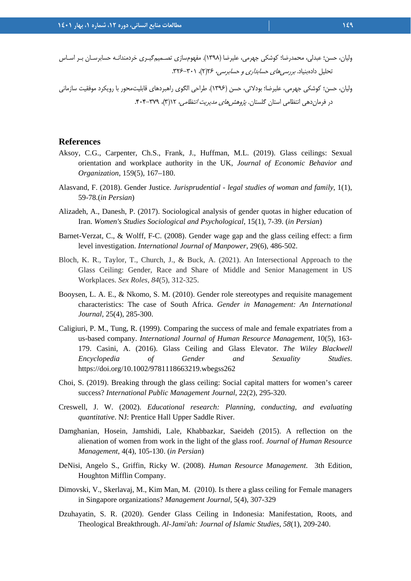وليان، حسن؛ عبدلي، محمدرضا؛ كوشكي جهرمي، عليرضا (1398). مفهومسازي تصـميمگيـري خردمندانـه حسابرسـان بـر اسـاس تحليل دادهبنياد. بررسيهاي حسابداري <sup>و</sup> حسابرسي، 26(2)، .326-301

وليان، حسن؛ كوشكي جهرمي، عليرضا؛ بودلائي، حسن (1396). طراحي الگوي راهبردهاي قابليتمحور با رويكرد موفقيت سازماني در فرمان دهي انتظامي استان گلستان. *پژوهش هاي مديريت انتظامي*، ۱۲(۳)، ۳۷۹-۴۰۴.

#### **References**

- Aksoy, C.G., Carpenter, Ch.S., Frank, J., Huffman, M.L. (2019). Glass ceilings: Sexual orientation and workplace authority in the UK, *Journal of Economic Behavior and Organization*, 159(5), 167–180.
- Alasvand, F. (2018). Gender Justice. *Jurisprudential legal studies of woman and family*, 1(1), 59-78.(*in Persian*)
- Alizadeh, A., Danesh, P. (2017). Sociological analysis of gender quotas in higher education of Iran. *Women's Studies Sociological and Psychological*, 15(1), 7-39. (*in Persian*)
- Barnet-Verzat, C., & Wolff, F-C. (2008). Gender wage gap and the glass ceiling effect: a firm level investigation. *International Journal of Manpower*, 29(6), 486-502.
- Bloch, K. R., Taylor, T., Church, J., & Buck, A. (2021). An Intersectional Approach to the Glass Ceiling: Gender, Race and Share of Middle and Senior Management in US Workplaces. *Sex Roles*, *84*(5), 312-325.
- Booysen, L. A. E., & Nkomo, S. M. (2010). Gender role stereotypes and requisite management characteristics: The case of South Africa. *Gender in Management: An International Journal*, 25(4), 285-300.
- Caligiuri, P. M., Tung, R. (1999). Comparing the success of male and female expatriates from a us-based company. *International Journal of Human Resource Management*, 10(5), 163- 179. Casini, A. (2016). Glass Ceiling and Glass Elevator. *The Wiley Blackwell Encyclopedia of Gender and Sexuality Studies*. https://doi.org/10.1002/9781118663219.wbegss262
- Choi, S. (2019). Breaking through the glass ceiling: Social capital matters for women's career success? *International Public Management Journal*, 22(2), 295-320.
- Creswell, J. W. (2002). *Educational research: Planning, conducting, and evaluating quantitative*. NJ: Prentice Hall Upper Saddle River.
- Damghanian, Hosein, Jamshidi, Lale, Khabbazkar, Saeideh (2015). A reflection on the alienation of women from work in the light of the glass roof. *Journal of Human Resource Management*, 4(4), 105-130. (*in Persian*)
- DeNisi, Angelo S., Griffin, Ricky W. (2008). *Human Resource Management*. 3th Edition, Houghton Mifflin Company.
- Dimovski, V., Skerlavaj, M., Kim Man, M. (2010). Is there a glass ceiling for Female managers in Singapore organizations? *Management Journal*, 5(4), 307-329
- Dzuhayatin, S. R. (2020). Gender Glass Ceiling in Indonesia: Manifestation, Roots, and Theological Breakthrough. *Al-Jami'ah: Journal of Islamic Studies*, *58*(1), 209-240.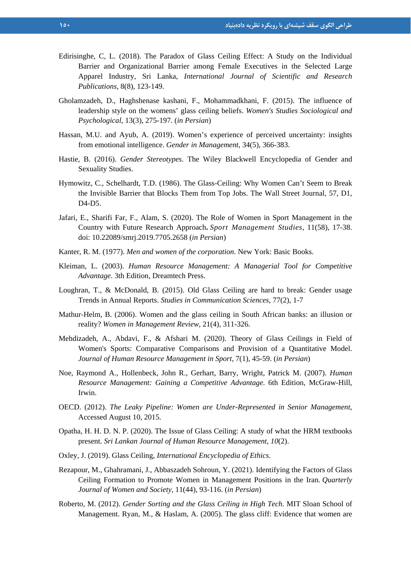- Edirisinghe, C, L. (2018). The Paradox of Glass Ceiling Effect: A Study on the Individual Barrier and Organizational Barrier among Female Executives in the Selected Large Apparel Industry, Sri Lanka, *International Journal of Scientific and Research Publications*, 8(8), 123-149.
- Gholamzadeh, D., Haghshenase kashani, F., Mohammadkhani, F. (2015). The influence of leadership style on the womens' glass ceiling beliefs. *Women's Studies Sociological and Psychological*, 13(3), 275-197. (*in Persian*)
- Hassan, M.U. and Ayub, A. (2019). Women's experience of perceived uncertainty: insights from emotional intelligence. *Gender in Management*, 34(5), 366-383.
- Hastie, B. (2016). *Gender Stereotypes*. The Wiley Blackwell Encyclopedia of Gender and Sexuality Studies.
- Hymowitz, C., Schelhardt, T.D. (1986). The Glass-Ceiling: Why Women Can't Seem to Break the Invisible Barrier that Blocks Them from Top Jobs. The Wall Street Journal, 57, D1, D4-D5.
- Jafari, E., Sharifi Far, F., Alam, S. (2020). The Role of Women in Sport Management in the Country with Future Research Approach**.** *Sport Management Studies*, 11(58), 17-38. doi: 10.22089/smrj.2019.7705.2658 (*in Persian*)
- Kanter, R. M. (1977). *Men and women of the corporation*. New York: Basic Books.
- Kleiman, L. (2003). *Human Resource Management: A Managerial Tool for Competitive Advantage*. 3th Edition, Dreamtech Press.
- Loughran, T., & McDonald, B. (2015). Old Glass Ceiling are hard to break: Gender usage Trends in Annual Reports. *Studies in Communication Sciences*, 77(2), 1-7
- Mathur-Helm, B. (2006). Women and the glass ceiling in South African banks: an illusion or reality? *Women in Management Review*, 21(4), 311-326.
- Mehdizadeh, A., Abdavi, F., & Afshari M. (2020). Theory of Glass Ceilings in Field of Women's Sports: Comparative Comparisons and Provision of a Quantitative Model. *Journal of Human Resource Management in Sport,* 7(1), 45-59. (*in Persian*)
- Noe, Raymond A., Hollenbeck, John R., Gerhart, Barry, Wright, Patrick M. (2007). *Human Resource Management: Gaining a Competitive Advantage*. 6th Edition, McGraw-Hill, Irwin.
- OECD. (2012). *The Leaky Pipeline: Women are Under-Represented in Senior Management*, Accessed August 10, 2015.
- Opatha, H. H. D. N. P. (2020). The Issue of Glass Ceiling: A study of what the HRM textbooks present. *Sri Lankan Journal of Human Resource Management*, *10*(2).
- Oxley, J. (2019). Glass Ceiling, *International Encyclopedia of Ethics*.
- Rezapour, M., Ghahramani, J., Abbaszadeh Sohroun, Y. (2021). Identifying the Factors of Glass Ceiling Formation to Promote Women in Management Positions in the Iran. *Quarterly Journal of Women and Society*, 11(44), 93-116. (*in Persian*)
- Roberto, M. (2012). *Gender Sorting and the Glass Ceiling in High Tech*. MIT Sloan School of Management. Ryan, M., & Haslam, A. (2005). The glass cliff: Evidence that women are